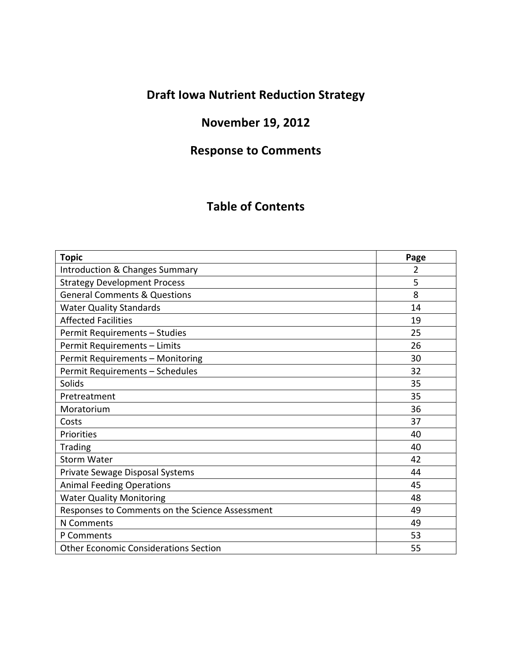# **Draft Iowa Nutrient Reduction Strategy**

# **November 19, 2012**

# **Response to Comments**

## **Table of Contents**

| <b>Topic</b>                                    | Page |
|-------------------------------------------------|------|
| Introduction & Changes Summary                  | 2    |
| <b>Strategy Development Process</b>             | 5    |
| <b>General Comments &amp; Questions</b>         | 8    |
| <b>Water Quality Standards</b>                  | 14   |
| <b>Affected Facilities</b>                      | 19   |
| Permit Requirements - Studies                   | 25   |
| Permit Requirements - Limits                    | 26   |
| Permit Requirements - Monitoring                | 30   |
| Permit Requirements - Schedules                 | 32   |
| Solids                                          | 35   |
| Pretreatment                                    | 35   |
| Moratorium                                      | 36   |
| Costs                                           | 37   |
| Priorities                                      | 40   |
| Trading                                         | 40   |
| <b>Storm Water</b>                              | 42   |
| Private Sewage Disposal Systems                 | 44   |
| <b>Animal Feeding Operations</b>                | 45   |
| <b>Water Quality Monitoring</b>                 | 48   |
| Responses to Comments on the Science Assessment | 49   |
| N Comments                                      | 49   |
| P Comments                                      | 53   |
| <b>Other Economic Considerations Section</b>    | 55   |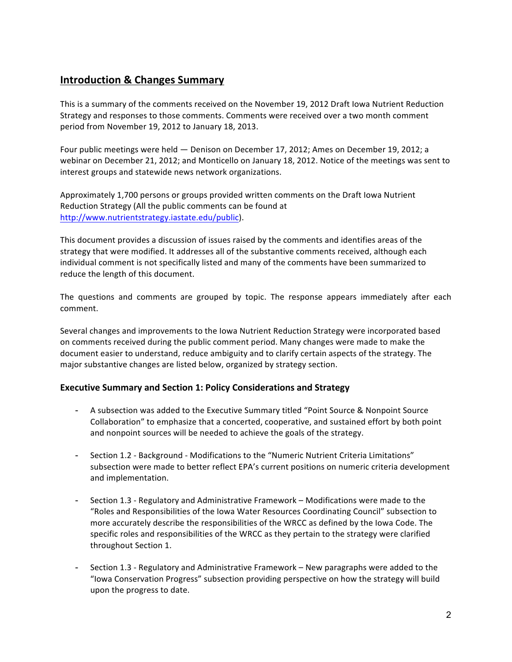## **Introduction & Changes Summary**

This is a summary of the comments received on the November 19, 2012 Draft Iowa Nutrient Reduction Strategy and responses to those comments. Comments were received over a two month comment period from November 19, 2012 to January 18, 2013.

Four public meetings were held — Denison on December 17, 2012; Ames on December 19, 2012; a webinar on December 21, 2012; and Monticello on January 18, 2012. Notice of the meetings was sent to interest groups and statewide news network organizations.

Approximately 1,700 persons or groups provided written comments on the Draft lowa Nutrient Reduction Strategy (All the public comments can be found at http://www.nutrientstrategy.iastate.edu/public).

This document provides a discussion of issues raised by the comments and identifies areas of the strategy that were modified. It addresses all of the substantive comments received, although each individual comment is not specifically listed and many of the comments have been summarized to reduce the length of this document.

The questions and comments are grouped by topic. The response appears immediately after each comment.

Several changes and improvements to the Iowa Nutrient Reduction Strategy were incorporated based on comments received during the public comment period. Many changes were made to make the document easier to understand, reduce ambiguity and to clarify certain aspects of the strategy. The major substantive changes are listed below, organized by strategy section.

#### **Executive Summary and Section 1: Policy Considerations and Strategy**

- A subsection was added to the Executive Summary titled "Point Source & Nonpoint Source Collaboration" to emphasize that a concerted, cooperative, and sustained effort by both point and nonpoint sources will be needed to achieve the goals of the strategy.
- Section 1.2 Background Modifications to the "Numeric Nutrient Criteria Limitations" subsection were made to better reflect EPA's current positions on numeric criteria development and implementation.
- Section 1.3 Regulatory and Administrative Framework Modifications were made to the "Roles and Responsibilities of the Iowa Water Resources Coordinating Council" subsection to more accurately describe the responsibilities of the WRCC as defined by the Iowa Code. The specific roles and responsibilities of the WRCC as they pertain to the strategy were clarified throughout Section 1.
- Section 1.3 Regulatory and Administrative Framework New paragraphs were added to the "Iowa Conservation Progress" subsection providing perspective on how the strategy will build upon the progress to date.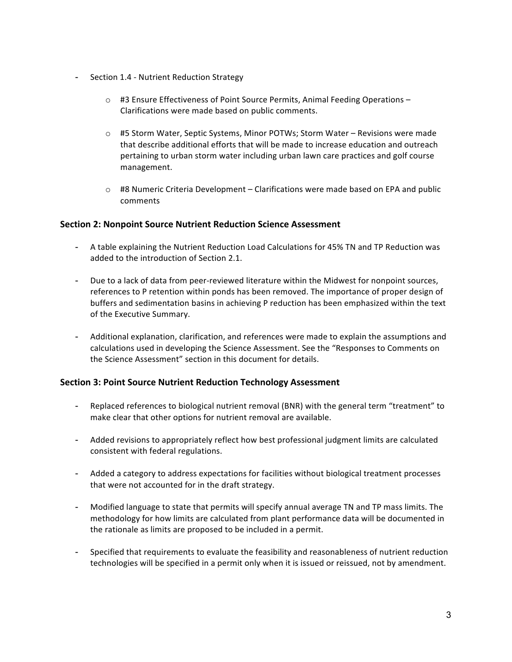- Section 1.4 Nutrient Reduction Strategy
	- o #3 Ensure Effectiveness of Point Source Permits, Animal Feeding Operations -Clarifications were made based on public comments.
	- $\circ$  #5 Storm Water, Septic Systems, Minor POTWs; Storm Water Revisions were made that describe additional efforts that will be made to increase education and outreach pertaining to urban storm water including urban lawn care practices and golf course management.
	- $\circ$  #8 Numeric Criteria Development Clarifications were made based on EPA and public comments

#### **Section 2: Nonpoint Source Nutrient Reduction Science Assessment**

- A table explaining the Nutrient Reduction Load Calculations for 45% TN and TP Reduction was added to the introduction of Section 2.1.
- Due to a lack of data from peer-reviewed literature within the Midwest for nonpoint sources, references to P retention within ponds has been removed. The importance of proper design of buffers and sedimentation basins in achieving P reduction has been emphasized within the text of the Executive Summary.
- Additional explanation, clarification, and references were made to explain the assumptions and calculations used in developing the Science Assessment. See the "Responses to Comments on the Science Assessment" section in this document for details.

#### **Section 3: Point Source Nutrient Reduction Technology Assessment**

- Replaced references to biological nutrient removal (BNR) with the general term "treatment" to make clear that other options for nutrient removal are available.
- Added revisions to appropriately reflect how best professional judgment limits are calculated consistent with federal regulations.
- Added a category to address expectations for facilities without biological treatment processes that were not accounted for in the draft strategy.
- Modified language to state that permits will specify annual average TN and TP mass limits. The methodology for how limits are calculated from plant performance data will be documented in the rationale as limits are proposed to be included in a permit.
- Specified that requirements to evaluate the feasibility and reasonableness of nutrient reduction technologies will be specified in a permit only when it is issued or reissued, not by amendment.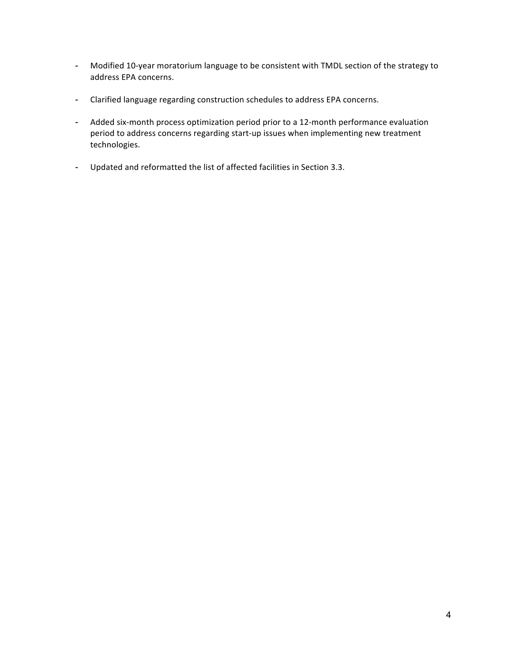- Modified 10-year moratorium language to be consistent with TMDL section of the strategy to address EPA concerns.
- Clarified language regarding construction schedules to address EPA concerns.
- Added six-month process optimization period prior to a 12-month performance evaluation period to address concerns regarding start-up issues when implementing new treatment technologies.
- Updated and reformatted the list of affected facilities in Section 3.3.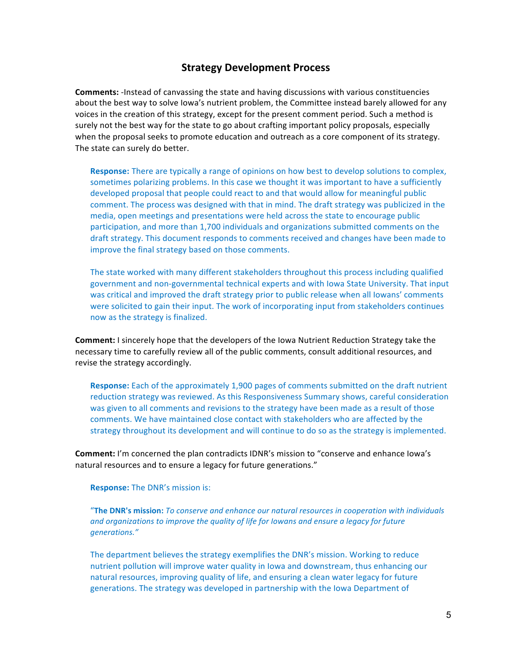### **Strategy Development Process**

**Comments:** -Instead of canvassing the state and having discussions with various constituencies about the best way to solve lowa's nutrient problem, the Committee instead barely allowed for any voices in the creation of this strategy, except for the present comment period. Such a method is surely not the best way for the state to go about crafting important policy proposals, especially when the proposal seeks to promote education and outreach as a core component of its strategy. The state can surely do better.

**Response:** There are typically a range of opinions on how best to develop solutions to complex, sometimes polarizing problems. In this case we thought it was important to have a sufficiently developed proposal that people could react to and that would allow for meaningful public comment. The process was designed with that in mind. The draft strategy was publicized in the media, open meetings and presentations were held across the state to encourage public participation, and more than 1,700 individuals and organizations submitted comments on the draft strategy. This document responds to comments received and changes have been made to improve the final strategy based on those comments.

The state worked with many different stakeholders throughout this process including qualified government and non-governmental technical experts and with Iowa State University. That input was critical and improved the draft strategy prior to public release when all lowans' comments were solicited to gain their input. The work of incorporating input from stakeholders continues now as the strategy is finalized.

**Comment:** I sincerely hope that the developers of the Iowa Nutrient Reduction Strategy take the necessary time to carefully review all of the public comments, consult additional resources, and revise the strategy accordingly.

**Response:** Each of the approximately 1,900 pages of comments submitted on the draft nutrient reduction strategy was reviewed. As this Responsiveness Summary shows, careful consideration was given to all comments and revisions to the strategy have been made as a result of those comments. We have maintained close contact with stakeholders who are affected by the strategy throughout its development and will continue to do so as the strategy is implemented.

**Comment:** I'm concerned the plan contradicts IDNR's mission to "conserve and enhance Iowa's natural resources and to ensure a legacy for future generations."

**Response:** The DNR's mission is:

"The DNR's mission: To conserve and enhance our natural resources in cooperation with individuals and organizations to improve the quality of life for lowans and ensure a legacy for future *generations."*

The department believes the strategy exemplifies the DNR's mission. Working to reduce nutrient pollution will improve water quality in lowa and downstream, thus enhancing our natural resources, improving quality of life, and ensuring a clean water legacy for future generations. The strategy was developed in partnership with the Iowa Department of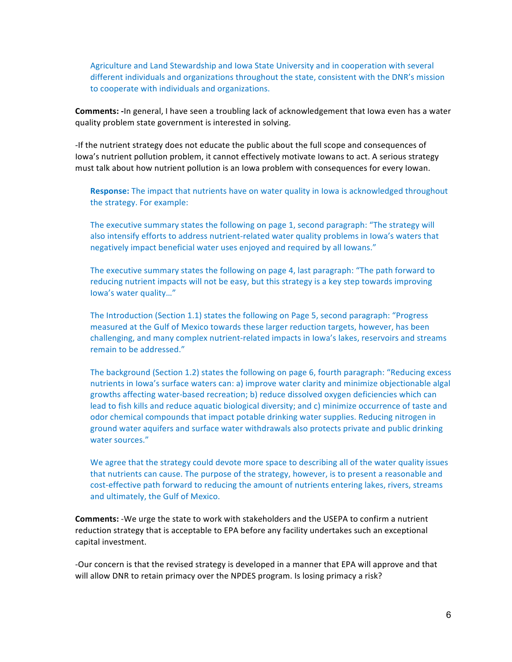Agriculture and Land Stewardship and Iowa State University and in cooperation with several different individuals and organizations throughout the state, consistent with the DNR's mission to cooperate with individuals and organizations.

**Comments:** -In general, I have seen a troubling lack of acknowledgement that lowa even has a water quality problem state government is interested in solving.

-If the nutrient strategy does not educate the public about the full scope and consequences of Iowa's nutrient pollution problem, it cannot effectively motivate lowans to act. A serious strategy must talk about how nutrient pollution is an Iowa problem with consequences for every lowan.

**Response:** The impact that nutrients have on water quality in lowa is acknowledged throughout the strategy. For example:

The executive summary states the following on page 1, second paragraph: "The strategy will also intensify efforts to address nutrient-related water quality problems in lowa's waters that negatively impact beneficial water uses enjoyed and required by all lowans."

The executive summary states the following on page 4, last paragraph: "The path forward to reducing nutrient impacts will not be easy, but this strategy is a key step towards improving Iowa's water quality..."

The Introduction (Section 1.1) states the following on Page 5, second paragraph: "Progress measured at the Gulf of Mexico towards these larger reduction targets, however, has been challenging, and many complex nutrient-related impacts in lowa's lakes, reservoirs and streams remain to be addressed."

The background (Section 1.2) states the following on page 6, fourth paragraph: "Reducing excess nutrients in lowa's surface waters can: a) improve water clarity and minimize objectionable algal growths affecting water-based recreation; b) reduce dissolved oxygen deficiencies which can lead to fish kills and reduce aquatic biological diversity; and c) minimize occurrence of taste and odor chemical compounds that impact potable drinking water supplies. Reducing nitrogen in ground water aquifers and surface water withdrawals also protects private and public drinking water sources."

We agree that the strategy could devote more space to describing all of the water quality issues that nutrients can cause. The purpose of the strategy, however, is to present a reasonable and cost-effective path forward to reducing the amount of nutrients entering lakes, rivers, streams and ultimately, the Gulf of Mexico.

**Comments:** -We urge the state to work with stakeholders and the USEPA to confirm a nutrient reduction strategy that is acceptable to EPA before any facility undertakes such an exceptional capital investment.

-Our concern is that the revised strategy is developed in a manner that EPA will approve and that will allow DNR to retain primacy over the NPDES program. Is losing primacy a risk?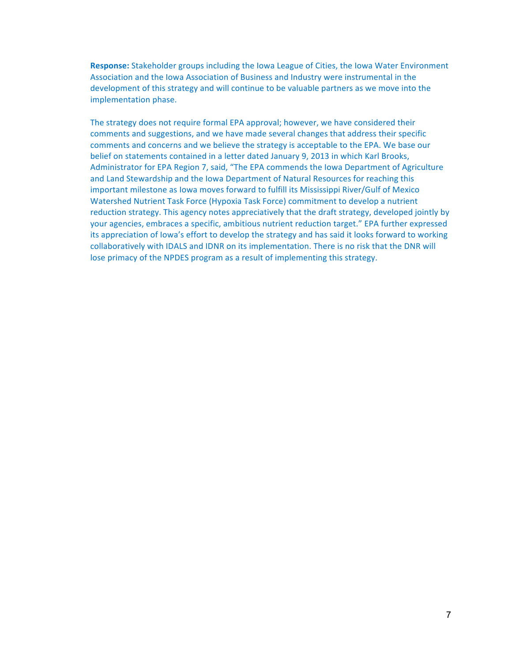**Response:** Stakeholder groups including the lowa League of Cities, the lowa Water Environment Association and the Iowa Association of Business and Industry were instrumental in the development of this strategy and will continue to be valuable partners as we move into the implementation phase.

The strategy does not require formal EPA approval; however, we have considered their comments and suggestions, and we have made several changes that address their specific comments and concerns and we believe the strategy is acceptable to the EPA. We base our belief on statements contained in a letter dated January 9, 2013 in which Karl Brooks, Administrator for EPA Region 7, said, "The EPA commends the Iowa Department of Agriculture and Land Stewardship and the Iowa Department of Natural Resources for reaching this important milestone as lowa moves forward to fulfill its Mississippi River/Gulf of Mexico Watershed Nutrient Task Force (Hypoxia Task Force) commitment to develop a nutrient reduction strategy. This agency notes appreciatively that the draft strategy, developed jointly by your agencies, embraces a specific, ambitious nutrient reduction target." EPA further expressed its appreciation of lowa's effort to develop the strategy and has said it looks forward to working collaboratively with IDALS and IDNR on its implementation. There is no risk that the DNR will lose primacy of the NPDES program as a result of implementing this strategy.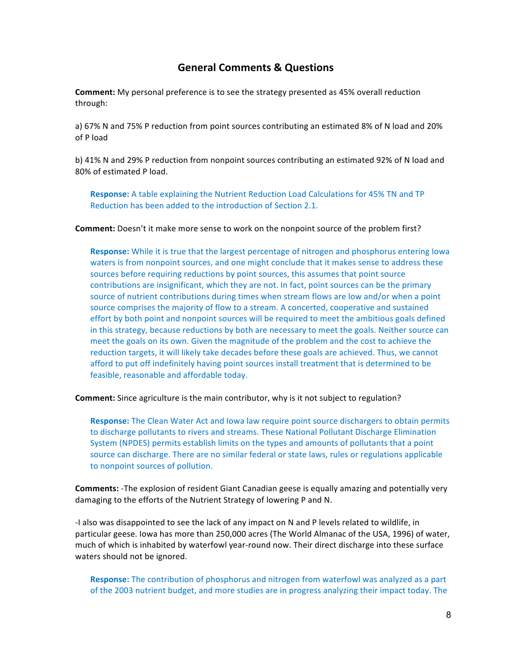## **General Comments & Questions**

**Comment:** My personal preference is to see the strategy presented as 45% overall reduction through:

a) 67% N and 75% P reduction from point sources contributing an estimated 8% of N load and 20% of P load

b) 41% N and 29% P reduction from nonpoint sources contributing an estimated 92% of N load and 80% of estimated P load.

**Response:** A table explaining the Nutrient Reduction Load Calculations for 45% TN and TP Reduction has been added to the introduction of Section 2.1.

**Comment:** Doesn't it make more sense to work on the nonpoint source of the problem first?

**Response:** While it is true that the largest percentage of nitrogen and phosphorus entering lowa waters is from nonpoint sources, and one might conclude that it makes sense to address these sources before requiring reductions by point sources, this assumes that point source contributions are insignificant, which they are not. In fact, point sources can be the primary source of nutrient contributions during times when stream flows are low and/or when a point source comprises the majority of flow to a stream. A concerted, cooperative and sustained effort by both point and nonpoint sources will be required to meet the ambitious goals defined in this strategy, because reductions by both are necessary to meet the goals. Neither source can meet the goals on its own. Given the magnitude of the problem and the cost to achieve the reduction targets, it will likely take decades before these goals are achieved. Thus, we cannot afford to put off indefinitely having point sources install treatment that is determined to be feasible, reasonable and affordable today.

**Comment:** Since agriculture is the main contributor, why is it not subject to regulation?

**Response:** The Clean Water Act and lowa law require point source dischargers to obtain permits to discharge pollutants to rivers and streams. These National Pollutant Discharge Elimination System (NPDES) permits establish limits on the types and amounts of pollutants that a point source can discharge. There are no similar federal or state laws, rules or regulations applicable to nonpoint sources of pollution.

**Comments:** -The explosion of resident Giant Canadian geese is equally amazing and potentially very damaging to the efforts of the Nutrient Strategy of lowering P and N.

-I also was disappointed to see the lack of any impact on N and P levels related to wildlife, in particular geese. Iowa has more than 250,000 acres (The World Almanac of the USA, 1996) of water, much of which is inhabited by waterfowl year-round now. Their direct discharge into these surface waters should not be ignored.

**Response:** The contribution of phosphorus and nitrogen from waterfowl was analyzed as a part of the 2003 nutrient budget, and more studies are in progress analyzing their impact today. The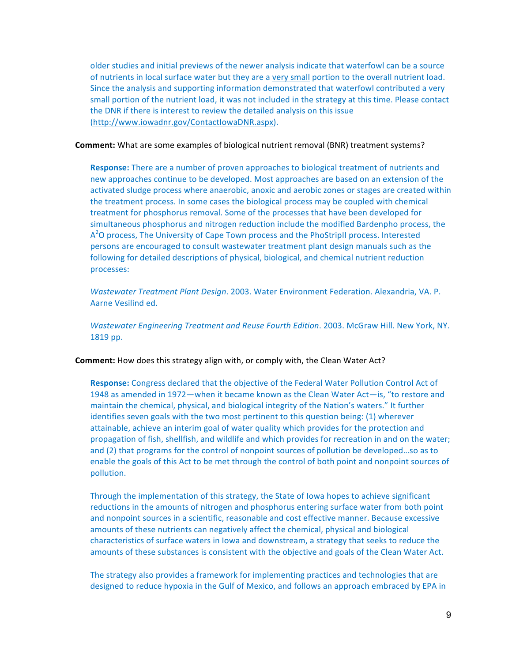older studies and initial previews of the newer analysis indicate that waterfowl can be a source of nutrients in local surface water but they are a very small portion to the overall nutrient load. Since the analysis and supporting information demonstrated that waterfowl contributed a very small portion of the nutrient load, it was not included in the strategy at this time. Please contact the DNR if there is interest to review the detailed analysis on this issue (http://www.iowadnr.gov/ContactIowaDNR.aspx).

**Comment:** What are some examples of biological nutrient removal (BNR) treatment systems?

**Response:** There are a number of proven approaches to biological treatment of nutrients and new approaches continue to be developed. Most approaches are based on an extension of the activated sludge process where anaerobic, anoxic and aerobic zones or stages are created within the treatment process. In some cases the biological process may be coupled with chemical treatment for phosphorus removal. Some of the processes that have been developed for simultaneous phosphorus and nitrogen reduction include the modified Bardenpho process, the  $A<sup>2</sup>O$  process, The University of Cape Town process and the PhoStripII process. Interested persons are encouraged to consult wastewater treatment plant design manuals such as the following for detailed descriptions of physical, biological, and chemical nutrient reduction processes:

*Wastewater Treatment Plant Design.* 2003. Water Environment Federation. Alexandria, VA. P. Aarne Vesilind ed.

*Wastewater Engineering Treatment and Reuse Fourth Edition*. 2003. McGraw Hill. New York, NY. 1819 pp.

**Comment:** How does this strategy align with, or comply with, the Clean Water Act?

**Response:** Congress declared that the objective of the Federal Water Pollution Control Act of 1948 as amended in 1972—when it became known as the Clean Water Act—is, "to restore and maintain the chemical, physical, and biological integrity of the Nation's waters." It further identifies seven goals with the two most pertinent to this question being: (1) wherever attainable, achieve an interim goal of water quality which provides for the protection and propagation of fish, shellfish, and wildlife and which provides for recreation in and on the water; and (2) that programs for the control of nonpoint sources of pollution be developed...so as to enable the goals of this Act to be met through the control of both point and nonpoint sources of pollution. 

Through the implementation of this strategy, the State of Iowa hopes to achieve significant reductions in the amounts of nitrogen and phosphorus entering surface water from both point and nonpoint sources in a scientific, reasonable and cost effective manner. Because excessive amounts of these nutrients can negatively affect the chemical, physical and biological characteristics of surface waters in lowa and downstream, a strategy that seeks to reduce the amounts of these substances is consistent with the objective and goals of the Clean Water Act.

The strategy also provides a framework for implementing practices and technologies that are designed to reduce hypoxia in the Gulf of Mexico, and follows an approach embraced by EPA in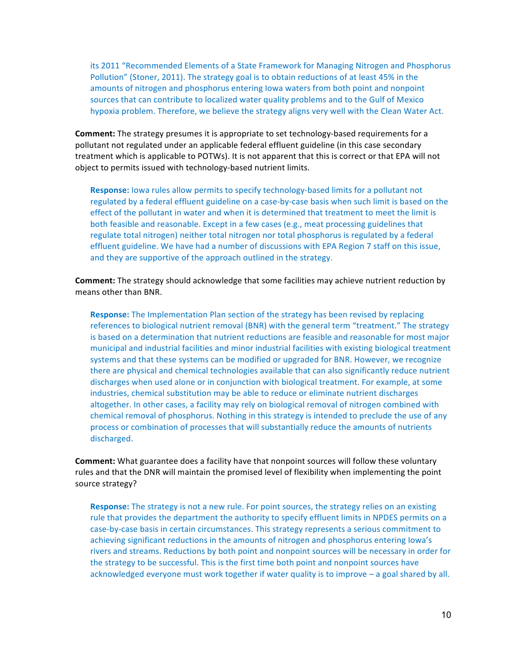its 2011 "Recommended Elements of a State Framework for Managing Nitrogen and Phosphorus Pollution" (Stoner, 2011). The strategy goal is to obtain reductions of at least 45% in the amounts of nitrogen and phosphorus entering lowa waters from both point and nonpoint sources that can contribute to localized water quality problems and to the Gulf of Mexico hypoxia problem. Therefore, we believe the strategy aligns very well with the Clean Water Act.

**Comment:** The strategy presumes it is appropriate to set technology-based requirements for a pollutant not regulated under an applicable federal effluent guideline (in this case secondary treatment which is applicable to POTWs). It is not apparent that this is correct or that EPA will not object to permits issued with technology-based nutrient limits.

**Response:** lowa rules allow permits to specify technology-based limits for a pollutant not regulated by a federal effluent guideline on a case-by-case basis when such limit is based on the effect of the pollutant in water and when it is determined that treatment to meet the limit is both feasible and reasonable. Except in a few cases (e.g., meat processing guidelines that regulate total nitrogen) neither total nitrogen nor total phosphorus is regulated by a federal effluent guideline. We have had a number of discussions with EPA Region 7 staff on this issue, and they are supportive of the approach outlined in the strategy.

**Comment:** The strategy should acknowledge that some facilities may achieve nutrient reduction by means other than BNR.

**Response:** The Implementation Plan section of the strategy has been revised by replacing references to biological nutrient removal (BNR) with the general term "treatment." The strategy is based on a determination that nutrient reductions are feasible and reasonable for most major municipal and industrial facilities and minor industrial facilities with existing biological treatment systems and that these systems can be modified or upgraded for BNR. However, we recognize there are physical and chemical technologies available that can also significantly reduce nutrient discharges when used alone or in conjunction with biological treatment. For example, at some industries, chemical substitution may be able to reduce or eliminate nutrient discharges altogether. In other cases, a facility may rely on biological removal of nitrogen combined with chemical removal of phosphorus. Nothing in this strategy is intended to preclude the use of any process or combination of processes that will substantially reduce the amounts of nutrients discharged.

**Comment:** What guarantee does a facility have that nonpoint sources will follow these voluntary rules and that the DNR will maintain the promised level of flexibility when implementing the point source strategy?

**Response:** The strategy is not a new rule. For point sources, the strategy relies on an existing rule that provides the department the authority to specify effluent limits in NPDES permits on a case-by-case basis in certain circumstances. This strategy represents a serious commitment to achieving significant reductions in the amounts of nitrogen and phosphorus entering lowa's rivers and streams. Reductions by both point and nonpoint sources will be necessary in order for the strategy to be successful. This is the first time both point and nonpoint sources have acknowledged everyone must work together if water quality is to improve - a goal shared by all.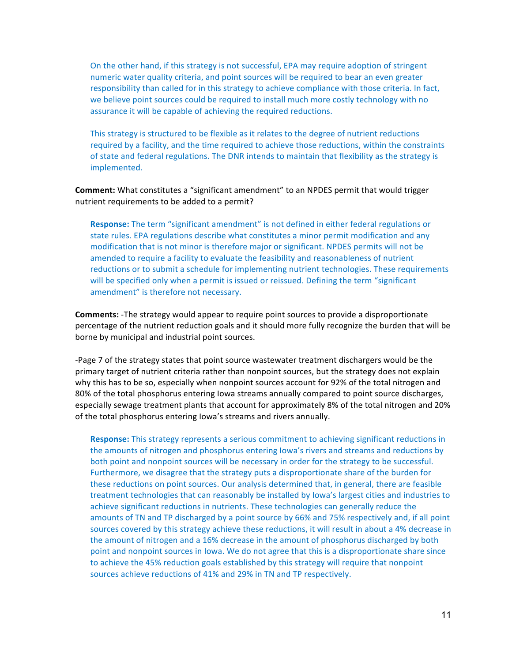On the other hand, if this strategy is not successful, EPA may require adoption of stringent numeric water quality criteria, and point sources will be required to bear an even greater responsibility than called for in this strategy to achieve compliance with those criteria. In fact, we believe point sources could be required to install much more costly technology with no assurance it will be capable of achieving the required reductions.

This strategy is structured to be flexible as it relates to the degree of nutrient reductions required by a facility, and the time required to achieve those reductions, within the constraints of state and federal regulations. The DNR intends to maintain that flexibility as the strategy is implemented.

#### **Comment:** What constitutes a "significant amendment" to an NPDES permit that would trigger nutrient requirements to be added to a permit?

**Response:** The term "significant amendment" is not defined in either federal regulations or state rules. EPA regulations describe what constitutes a minor permit modification and any modification that is not minor is therefore major or significant. NPDES permits will not be amended to require a facility to evaluate the feasibility and reasonableness of nutrient reductions or to submit a schedule for implementing nutrient technologies. These requirements will be specified only when a permit is issued or reissued. Defining the term "significant amendment" is therefore not necessary.

**Comments:** -The strategy would appear to require point sources to provide a disproportionate percentage of the nutrient reduction goals and it should more fully recognize the burden that will be borne by municipal and industrial point sources.

-Page 7 of the strategy states that point source wastewater treatment dischargers would be the primary target of nutrient criteria rather than nonpoint sources, but the strategy does not explain why this has to be so, especially when nonpoint sources account for 92% of the total nitrogen and 80% of the total phosphorus entering lowa streams annually compared to point source discharges, especially sewage treatment plants that account for approximately 8% of the total nitrogen and 20% of the total phosphorus entering lowa's streams and rivers annually.

**Response:** This strategy represents a serious commitment to achieving significant reductions in the amounts of nitrogen and phosphorus entering lowa's rivers and streams and reductions by both point and nonpoint sources will be necessary in order for the strategy to be successful. Furthermore, we disagree that the strategy puts a disproportionate share of the burden for these reductions on point sources. Our analysis determined that, in general, there are feasible treatment technologies that can reasonably be installed by Iowa's largest cities and industries to achieve significant reductions in nutrients. These technologies can generally reduce the amounts of TN and TP discharged by a point source by 66% and 75% respectively and, if all point sources covered by this strategy achieve these reductions, it will result in about a 4% decrease in the amount of nitrogen and a 16% decrease in the amount of phosphorus discharged by both point and nonpoint sources in lowa. We do not agree that this is a disproportionate share since to achieve the 45% reduction goals established by this strategy will require that nonpoint sources achieve reductions of 41% and 29% in TN and TP respectively.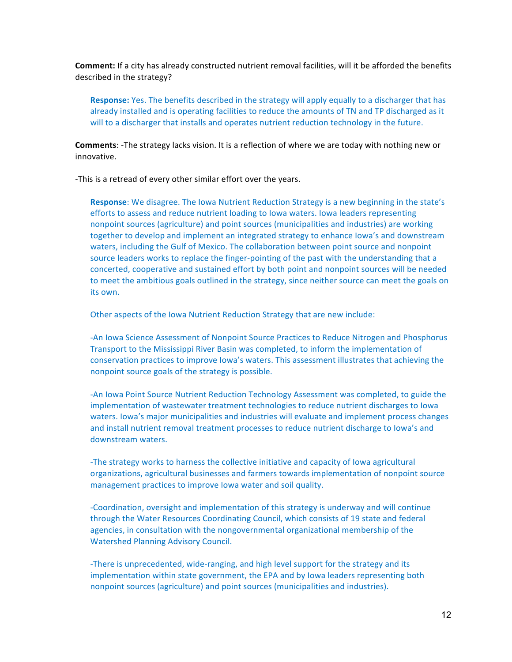**Comment:** If a city has already constructed nutrient removal facilities, will it be afforded the benefits described in the strategy?

**Response:** Yes. The benefits described in the strategy will apply equally to a discharger that has already installed and is operating facilities to reduce the amounts of TN and TP discharged as it will to a discharger that installs and operates nutrient reduction technology in the future.

**Comments:** -The strategy lacks vision. It is a reflection of where we are today with nothing new or innovative.

-This is a retread of every other similar effort over the years.

**Response:** We disagree. The lowa Nutrient Reduction Strategy is a new beginning in the state's efforts to assess and reduce nutrient loading to lowa waters. Iowa leaders representing nonpoint sources (agriculture) and point sources (municipalities and industries) are working together to develop and implement an integrated strategy to enhance lowa's and downstream waters, including the Gulf of Mexico. The collaboration between point source and nonpoint source leaders works to replace the finger-pointing of the past with the understanding that a concerted, cooperative and sustained effort by both point and nonpoint sources will be needed to meet the ambitious goals outlined in the strategy, since neither source can meet the goals on its own.

Other aspects of the Iowa Nutrient Reduction Strategy that are new include:

-An Iowa Science Assessment of Nonpoint Source Practices to Reduce Nitrogen and Phosphorus Transport to the Mississippi River Basin was completed, to inform the implementation of conservation practices to improve lowa's waters. This assessment illustrates that achieving the nonpoint source goals of the strategy is possible.

-An lowa Point Source Nutrient Reduction Technology Assessment was completed, to guide the implementation of wastewater treatment technologies to reduce nutrient discharges to lowa waters. Iowa's major municipalities and industries will evaluate and implement process changes and install nutrient removal treatment processes to reduce nutrient discharge to Iowa's and downstream waters.

-The strategy works to harness the collective initiative and capacity of lowa agricultural organizations, agricultural businesses and farmers towards implementation of nonpoint source management practices to improve lowa water and soil quality.

-Coordination, oversight and implementation of this strategy is underway and will continue through the Water Resources Coordinating Council, which consists of 19 state and federal agencies, in consultation with the nongovernmental organizational membership of the Watershed Planning Advisory Council.

-There is unprecedented, wide-ranging, and high level support for the strategy and its implementation within state government, the EPA and by Iowa leaders representing both nonpoint sources (agriculture) and point sources (municipalities and industries).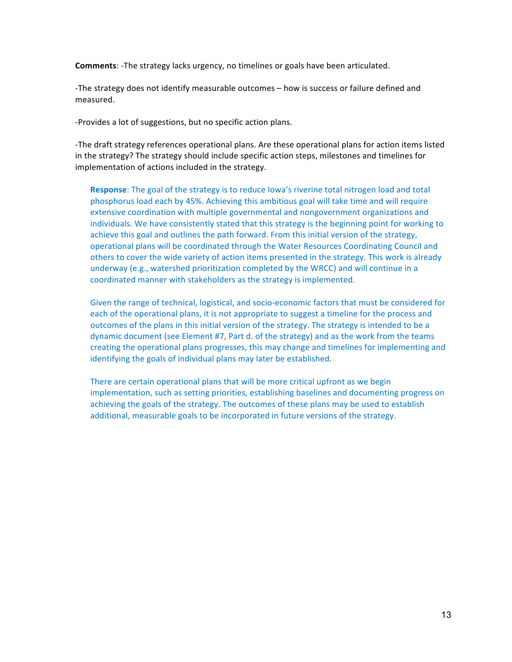**Comments:** -The strategy lacks urgency, no timelines or goals have been articulated.

-The strategy does not identify measurable outcomes – how is success or failure defined and measured.

-Provides a lot of suggestions, but no specific action plans.

-The draft strategy references operational plans. Are these operational plans for action items listed in the strategy? The strategy should include specific action steps, milestones and timelines for implementation of actions included in the strategy.

**Response**: The goal of the strategy is to reduce lowa's riverine total nitrogen load and total phosphorus load each by 45%. Achieving this ambitious goal will take time and will require extensive coordination with multiple governmental and nongovernment organizations and individuals. We have consistently stated that this strategy is the beginning point for working to achieve this goal and outlines the path forward. From this initial version of the strategy, operational plans will be coordinated through the Water Resources Coordinating Council and others to cover the wide variety of action items presented in the strategy. This work is already underway (e.g., watershed prioritization completed by the WRCC) and will continue in a coordinated manner with stakeholders as the strategy is implemented.

Given the range of technical, logistical, and socio-economic factors that must be considered for each of the operational plans, it is not appropriate to suggest a timeline for the process and outcomes of the plans in this initial version of the strategy. The strategy is intended to be a dynamic document (see Element #7, Part d. of the strategy) and as the work from the teams creating the operational plans progresses, this may change and timelines for implementing and identifying the goals of individual plans may later be established.

There are certain operational plans that will be more critical upfront as we begin implementation, such as setting priorities, establishing baselines and documenting progress on achieving the goals of the strategy. The outcomes of these plans may be used to establish additional, measurable goals to be incorporated in future versions of the strategy.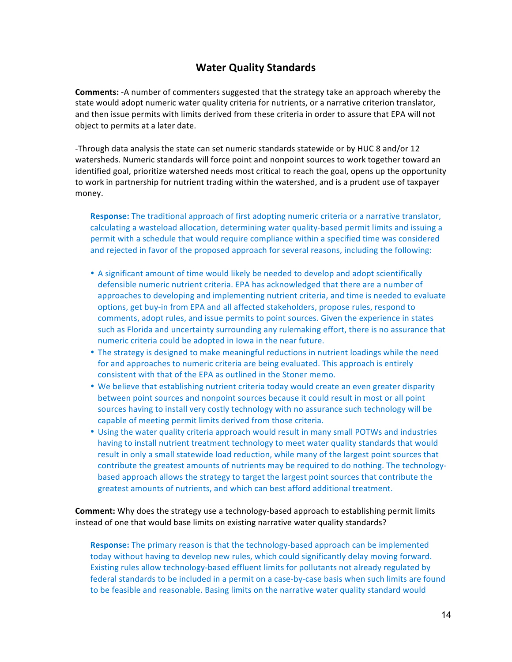## **Water Quality Standards**

**Comments:** -A number of commenters suggested that the strategy take an approach whereby the state would adopt numeric water quality criteria for nutrients, or a narrative criterion translator, and then issue permits with limits derived from these criteria in order to assure that EPA will not object to permits at a later date.

-Through data analysis the state can set numeric standards statewide or by HUC 8 and/or 12 watersheds. Numeric standards will force point and nonpoint sources to work together toward an identified goal, prioritize watershed needs most critical to reach the goal, opens up the opportunity to work in partnership for nutrient trading within the watershed, and is a prudent use of taxpayer money.

**Response:** The traditional approach of first adopting numeric criteria or a narrative translator, calculating a wasteload allocation, determining water quality-based permit limits and issuing a permit with a schedule that would require compliance within a specified time was considered and rejected in favor of the proposed approach for several reasons, including the following:

- A significant amount of time would likely be needed to develop and adopt scientifically defensible numeric nutrient criteria. EPA has acknowledged that there are a number of approaches to developing and implementing nutrient criteria, and time is needed to evaluate options, get buy-in from EPA and all affected stakeholders, propose rules, respond to comments, adopt rules, and issue permits to point sources. Given the experience in states such as Florida and uncertainty surrounding any rulemaking effort, there is no assurance that numeric criteria could be adopted in Iowa in the near future.
- The strategy is designed to make meaningful reductions in nutrient loadings while the need for and approaches to numeric criteria are being evaluated. This approach is entirely consistent with that of the EPA as outlined in the Stoner memo.
- We believe that establishing nutrient criteria today would create an even greater disparity between point sources and nonpoint sources because it could result in most or all point sources having to install very costly technology with no assurance such technology will be capable of meeting permit limits derived from those criteria.
- Using the water quality criteria approach would result in many small POTWs and industries having to install nutrient treatment technology to meet water quality standards that would result in only a small statewide load reduction, while many of the largest point sources that contribute the greatest amounts of nutrients may be required to do nothing. The technologybased approach allows the strategy to target the largest point sources that contribute the greatest amounts of nutrients, and which can best afford additional treatment.

**Comment:** Why does the strategy use a technology-based approach to establishing permit limits instead of one that would base limits on existing narrative water quality standards?

**Response:** The primary reason is that the technology-based approach can be implemented today without having to develop new rules, which could significantly delay moving forward. Existing rules allow technology-based effluent limits for pollutants not already regulated by federal standards to be included in a permit on a case-by-case basis when such limits are found to be feasible and reasonable. Basing limits on the narrative water quality standard would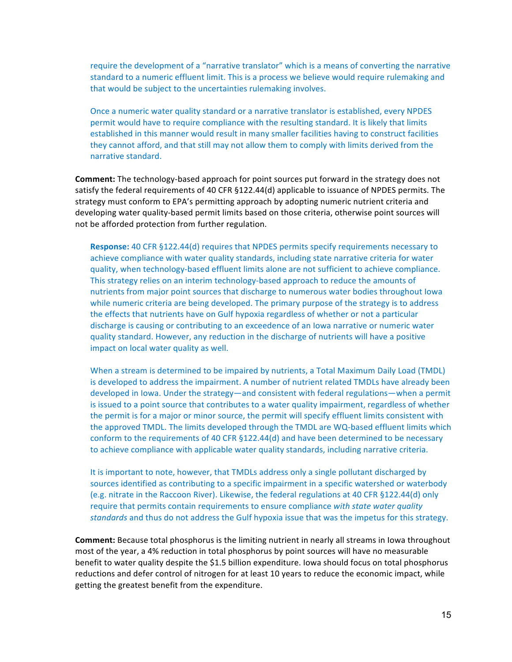require the development of a "narrative translator" which is a means of converting the narrative standard to a numeric effluent limit. This is a process we believe would require rulemaking and that would be subject to the uncertainties rulemaking involves.

Once a numeric water quality standard or a narrative translator is established, every NPDES permit would have to require compliance with the resulting standard. It is likely that limits established in this manner would result in many smaller facilities having to construct facilities they cannot afford, and that still may not allow them to comply with limits derived from the narrative standard.

**Comment:** The technology-based approach for point sources put forward in the strategy does not satisfy the federal requirements of 40 CFR §122.44(d) applicable to issuance of NPDES permits. The strategy must conform to EPA's permitting approach by adopting numeric nutrient criteria and developing water quality-based permit limits based on those criteria, otherwise point sources will not be afforded protection from further regulation.

**Response:** 40 CFR §122.44(d) requires that NPDES permits specify requirements necessary to achieve compliance with water quality standards, including state narrative criteria for water quality, when technology-based effluent limits alone are not sufficient to achieve compliance. This strategy relies on an interim technology-based approach to reduce the amounts of nutrients from major point sources that discharge to numerous water bodies throughout lowa while numeric criteria are being developed. The primary purpose of the strategy is to address the effects that nutrients have on Gulf hypoxia regardless of whether or not a particular discharge is causing or contributing to an exceedence of an lowa narrative or numeric water quality standard. However, any reduction in the discharge of nutrients will have a positive impact on local water quality as well.

When a stream is determined to be impaired by nutrients, a Total Maximum Daily Load (TMDL) is developed to address the impairment. A number of nutrient related TMDLs have already been developed in Iowa. Under the strategy—and consistent with federal regulations—when a permit is issued to a point source that contributes to a water quality impairment, regardless of whether the permit is for a major or minor source, the permit will specify effluent limits consistent with the approved TMDL. The limits developed through the TMDL are WQ-based effluent limits which conform to the requirements of 40 CFR §122.44(d) and have been determined to be necessary to achieve compliance with applicable water quality standards, including narrative criteria.

It is important to note, however, that TMDLs address only a single pollutant discharged by sources identified as contributing to a specific impairment in a specific watershed or waterbody (e.g. nitrate in the Raccoon River). Likewise, the federal regulations at 40 CFR §122.44(d) only require that permits contain requirements to ensure compliance with state water quality standards and thus do not address the Gulf hypoxia issue that was the impetus for this strategy.

**Comment:** Because total phosphorus is the limiting nutrient in nearly all streams in Iowa throughout most of the year, a 4% reduction in total phosphorus by point sources will have no measurable benefit to water quality despite the \$1.5 billion expenditure. Iowa should focus on total phosphorus reductions and defer control of nitrogen for at least 10 years to reduce the economic impact, while getting the greatest benefit from the expenditure.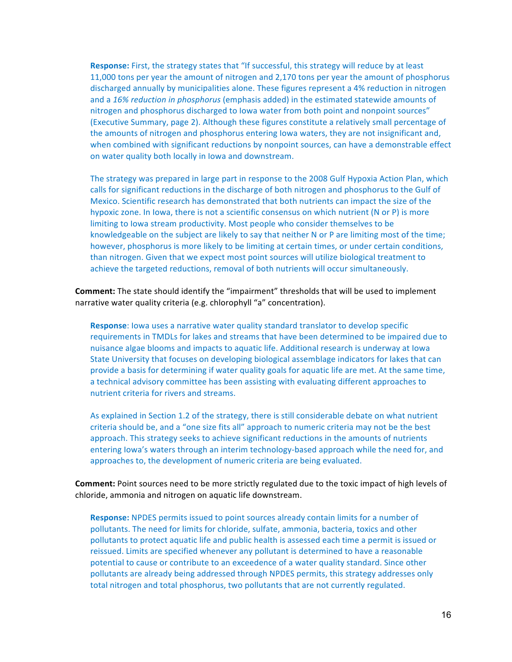**Response:** First, the strategy states that "If successful, this strategy will reduce by at least 11,000 tons per year the amount of nitrogen and 2,170 tons per year the amount of phosphorus discharged annually by municipalities alone. These figures represent a 4% reduction in nitrogen and a 16% reduction in phosphorus (emphasis added) in the estimated statewide amounts of nitrogen and phosphorus discharged to lowa water from both point and nonpoint sources" (Executive Summary, page 2). Although these figures constitute a relatively small percentage of the amounts of nitrogen and phosphorus entering lowa waters, they are not insignificant and, when combined with significant reductions by nonpoint sources, can have a demonstrable effect on water quality both locally in Iowa and downstream.

The strategy was prepared in large part in response to the 2008 Gulf Hypoxia Action Plan, which calls for significant reductions in the discharge of both nitrogen and phosphorus to the Gulf of Mexico. Scientific research has demonstrated that both nutrients can impact the size of the hypoxic zone. In lowa, there is not a scientific consensus on which nutrient (N or P) is more limiting to lowa stream productivity. Most people who consider themselves to be knowledgeable on the subject are likely to say that neither N or P are limiting most of the time; however, phosphorus is more likely to be limiting at certain times, or under certain conditions, than nitrogen. Given that we expect most point sources will utilize biological treatment to achieve the targeted reductions, removal of both nutrients will occur simultaneously.

**Comment:** The state should identify the "impairment" thresholds that will be used to implement narrative water quality criteria (e.g. chlorophyll "a" concentration).

**Response**: lowa uses a narrative water quality standard translator to develop specific requirements in TMDLs for lakes and streams that have been determined to be impaired due to nuisance algae blooms and impacts to aquatic life. Additional research is underway at Iowa State University that focuses on developing biological assemblage indicators for lakes that can provide a basis for determining if water quality goals for aquatic life are met. At the same time, a technical advisory committee has been assisting with evaluating different approaches to nutrient criteria for rivers and streams.

As explained in Section 1.2 of the strategy, there is still considerable debate on what nutrient criteria should be, and a "one size fits all" approach to numeric criteria may not be the best approach. This strategy seeks to achieve significant reductions in the amounts of nutrients entering lowa's waters through an interim technology-based approach while the need for, and approaches to, the development of numeric criteria are being evaluated.

**Comment:** Point sources need to be more strictly regulated due to the toxic impact of high levels of chloride, ammonia and nitrogen on aquatic life downstream.

**Response:** NPDES permits issued to point sources already contain limits for a number of pollutants. The need for limits for chloride, sulfate, ammonia, bacteria, toxics and other pollutants to protect aquatic life and public health is assessed each time a permit is issued or reissued. Limits are specified whenever any pollutant is determined to have a reasonable potential to cause or contribute to an exceedence of a water quality standard. Since other pollutants are already being addressed through NPDES permits, this strategy addresses only total nitrogen and total phosphorus, two pollutants that are not currently regulated.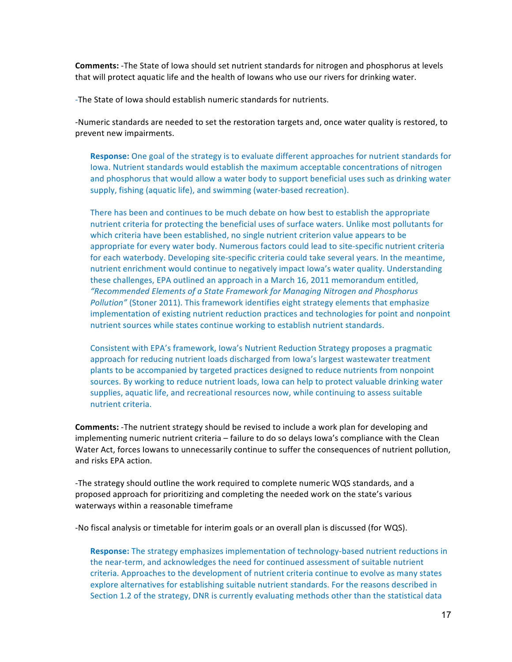**Comments:** -The State of lowa should set nutrient standards for nitrogen and phosphorus at levels that will protect aquatic life and the health of Iowans who use our rivers for drinking water.

-The State of Iowa should establish numeric standards for nutrients.

-Numeric standards are needed to set the restoration targets and, once water quality is restored, to prevent new impairments.

**Response:** One goal of the strategy is to evaluate different approaches for nutrient standards for Iowa. Nutrient standards would establish the maximum acceptable concentrations of nitrogen and phosphorus that would allow a water body to support beneficial uses such as drinking water supply, fishing (aquatic life), and swimming (water-based recreation).

There has been and continues to be much debate on how best to establish the appropriate nutrient criteria for protecting the beneficial uses of surface waters. Unlike most pollutants for which criteria have been established, no single nutrient criterion value appears to be appropriate for every water body. Numerous factors could lead to site-specific nutrient criteria for each waterbody. Developing site-specific criteria could take several years. In the meantime, nutrient enrichment would continue to negatively impact lowa's water quality. Understanding these challenges, EPA outlined an approach in a March 16, 2011 memorandum entitled, *"Recommended Elements of a State Framework for Managing Nitrogen and Phosphorus Pollution"* (Stoner 2011). This framework identifies eight strategy elements that emphasize implementation of existing nutrient reduction practices and technologies for point and nonpoint nutrient sources while states continue working to establish nutrient standards.

Consistent with EPA's framework, Iowa's Nutrient Reduction Strategy proposes a pragmatic approach for reducing nutrient loads discharged from Iowa's largest wastewater treatment plants to be accompanied by targeted practices designed to reduce nutrients from nonpoint sources. By working to reduce nutrient loads, lowa can help to protect valuable drinking water supplies, aquatic life, and recreational resources now, while continuing to assess suitable nutrient criteria.

**Comments:** -The nutrient strategy should be revised to include a work plan for developing and implementing numeric nutrient criteria – failure to do so delays lowa's compliance with the Clean Water Act, forces lowans to unnecessarily continue to suffer the consequences of nutrient pollution, and risks EPA action.

-The strategy should outline the work required to complete numeric WQS standards, and a proposed approach for prioritizing and completing the needed work on the state's various waterways within a reasonable timeframe

-No fiscal analysis or timetable for interim goals or an overall plan is discussed (for WQS).

**Response:** The strategy emphasizes implementation of technology-based nutrient reductions in the near-term, and acknowledges the need for continued assessment of suitable nutrient criteria. Approaches to the development of nutrient criteria continue to evolve as many states explore alternatives for establishing suitable nutrient standards. For the reasons described in Section 1.2 of the strategy, DNR is currently evaluating methods other than the statistical data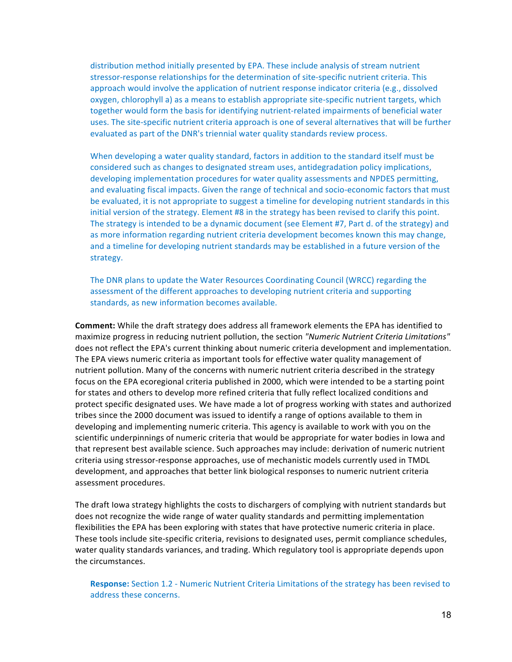distribution method initially presented by EPA. These include analysis of stream nutrient stressor-response relationships for the determination of site-specific nutrient criteria. This approach would involve the application of nutrient response indicator criteria (e.g., dissolved oxygen, chlorophyll a) as a means to establish appropriate site-specific nutrient targets, which together would form the basis for identifying nutrient-related impairments of beneficial water uses. The site-specific nutrient criteria approach is one of several alternatives that will be further evaluated as part of the DNR's triennial water quality standards review process.

When developing a water quality standard, factors in addition to the standard itself must be considered such as changes to designated stream uses, antidegradation policy implications, developing implementation procedures for water quality assessments and NPDES permitting, and evaluating fiscal impacts. Given the range of technical and socio-economic factors that must be evaluated, it is not appropriate to suggest a timeline for developing nutrient standards in this initial version of the strategy. Element #8 in the strategy has been revised to clarify this point. The strategy is intended to be a dynamic document (see Element #7, Part d. of the strategy) and as more information regarding nutrient criteria development becomes known this may change, and a timeline for developing nutrient standards may be established in a future version of the strategy.

The DNR plans to update the Water Resources Coordinating Council (WRCC) regarding the assessment of the different approaches to developing nutrient criteria and supporting standards, as new information becomes available.

**Comment:** While the draft strategy does address all framework elements the EPA has identified to maximize progress in reducing nutrient pollution, the section "Numeric Nutrient Criteria Limitations" does not reflect the EPA's current thinking about numeric criteria development and implementation. The EPA views numeric criteria as important tools for effective water quality management of nutrient pollution. Many of the concerns with numeric nutrient criteria described in the strategy focus on the EPA ecoregional criteria published in 2000, which were intended to be a starting point for states and others to develop more refined criteria that fully reflect localized conditions and protect specific designated uses. We have made a lot of progress working with states and authorized tribes since the 2000 document was issued to identify a range of options available to them in developing and implementing numeric criteria. This agency is available to work with you on the scientific underpinnings of numeric criteria that would be appropriate for water bodies in Iowa and that represent best available science. Such approaches may include: derivation of numeric nutrient criteria using stressor-response approaches, use of mechanistic models currently used in TMDL development, and approaches that better link biological responses to numeric nutrient criteria assessment procedures.

The draft lowa strategy highlights the costs to dischargers of complying with nutrient standards but does not recognize the wide range of water quality standards and permitting implementation flexibilities the EPA has been exploring with states that have protective numeric criteria in place. These tools include site-specific criteria, revisions to designated uses, permit compliance schedules, water quality standards variances, and trading. Which regulatory tool is appropriate depends upon the circumstances.

**Response:** Section 1.2 - Numeric Nutrient Criteria Limitations of the strategy has been revised to address these concerns.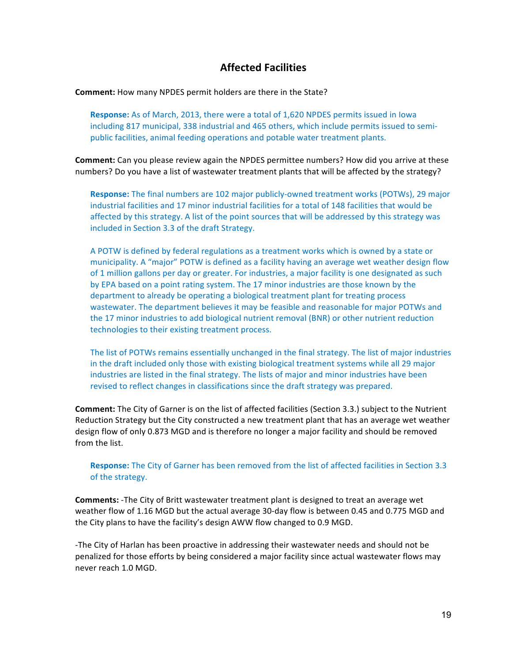## **Affected Facilities**

**Comment:** How many NPDES permit holders are there in the State?

**Response:** As of March, 2013, there were a total of 1,620 NPDES permits issued in Iowa including 817 municipal, 338 industrial and 465 others, which include permits issued to semipublic facilities, animal feeding operations and potable water treatment plants.

**Comment:** Can you please review again the NPDES permittee numbers? How did you arrive at these numbers? Do you have a list of wastewater treatment plants that will be affected by the strategy?

**Response:** The final numbers are 102 major publicly-owned treatment works (POTWs), 29 major industrial facilities and 17 minor industrial facilities for a total of 148 facilities that would be affected by this strategy. A list of the point sources that will be addressed by this strategy was included in Section 3.3 of the draft Strategy.

A POTW is defined by federal regulations as a treatment works which is owned by a state or municipality. A "major" POTW is defined as a facility having an average wet weather design flow of 1 million gallons per day or greater. For industries, a major facility is one designated as such by EPA based on a point rating system. The 17 minor industries are those known by the department to already be operating a biological treatment plant for treating process wastewater. The department believes it may be feasible and reasonable for major POTWs and the 17 minor industries to add biological nutrient removal (BNR) or other nutrient reduction technologies to their existing treatment process.

The list of POTWs remains essentially unchanged in the final strategy. The list of major industries in the draft included only those with existing biological treatment systems while all 29 major industries are listed in the final strategy. The lists of major and minor industries have been revised to reflect changes in classifications since the draft strategy was prepared.

**Comment:** The City of Garner is on the list of affected facilities (Section 3.3.) subject to the Nutrient Reduction Strategy but the City constructed a new treatment plant that has an average wet weather design flow of only 0.873 MGD and is therefore no longer a major facility and should be removed from the list.

**Response:** The City of Garner has been removed from the list of affected facilities in Section 3.3 of the strategy.

**Comments:** -The City of Britt wastewater treatment plant is designed to treat an average wet weather flow of 1.16 MGD but the actual average 30-day flow is between 0.45 and 0.775 MGD and the City plans to have the facility's design AWW flow changed to 0.9 MGD.

-The City of Harlan has been proactive in addressing their wastewater needs and should not be penalized for those efforts by being considered a major facility since actual wastewater flows may never reach 1.0 MGD.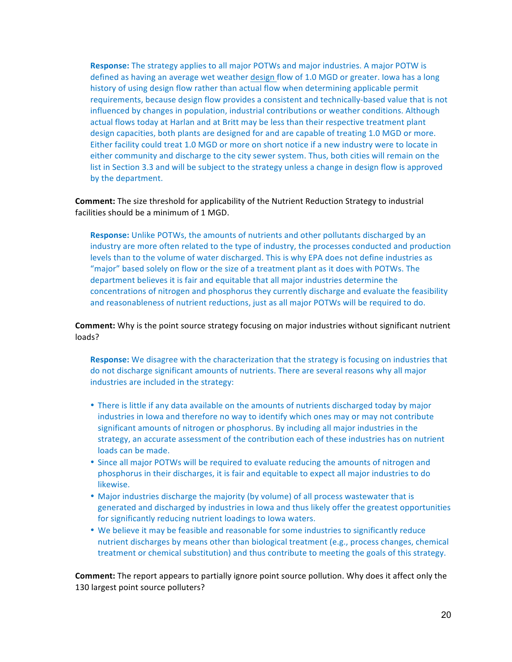**Response:** The strategy applies to all major POTWs and major industries. A major POTW is defined as having an average wet weather design flow of 1.0 MGD or greater. Iowa has a long history of using design flow rather than actual flow when determining applicable permit requirements, because design flow provides a consistent and technically-based value that is not influenced by changes in population, industrial contributions or weather conditions. Although actual flows today at Harlan and at Britt may be less than their respective treatment plant design capacities, both plants are designed for and are capable of treating 1.0 MGD or more. Either facility could treat 1.0 MGD or more on short notice if a new industry were to locate in either community and discharge to the city sewer system. Thus, both cities will remain on the list in Section 3.3 and will be subject to the strategy unless a change in design flow is approved by the department.

**Comment:** The size threshold for applicability of the Nutrient Reduction Strategy to industrial facilities should be a minimum of 1 MGD.

**Response:** Unlike POTWs, the amounts of nutrients and other pollutants discharged by an industry are more often related to the type of industry, the processes conducted and production levels than to the volume of water discharged. This is why EPA does not define industries as "major" based solely on flow or the size of a treatment plant as it does with POTWs. The department believes it is fair and equitable that all major industries determine the concentrations of nitrogen and phosphorus they currently discharge and evaluate the feasibility and reasonableness of nutrient reductions, just as all major POTWs will be required to do.

**Comment:** Why is the point source strategy focusing on major industries without significant nutrient loads? 

**Response:** We disagree with the characterization that the strategy is focusing on industries that do not discharge significant amounts of nutrients. There are several reasons why all major industries are included in the strategy:

- There is little if any data available on the amounts of nutrients discharged today by major industries in lowa and therefore no way to identify which ones may or may not contribute significant amounts of nitrogen or phosphorus. By including all major industries in the strategy, an accurate assessment of the contribution each of these industries has on nutrient loads can be made.
- Since all major POTWs will be required to evaluate reducing the amounts of nitrogen and phosphorus in their discharges, it is fair and equitable to expect all major industries to do likewise.
- Major industries discharge the majority (by volume) of all process wastewater that is generated and discharged by industries in Iowa and thus likely offer the greatest opportunities for significantly reducing nutrient loadings to lowa waters.
- We believe it may be feasible and reasonable for some industries to significantly reduce nutrient discharges by means other than biological treatment (e.g., process changes, chemical treatment or chemical substitution) and thus contribute to meeting the goals of this strategy.

**Comment:** The report appears to partially ignore point source pollution. Why does it affect only the 130 largest point source polluters?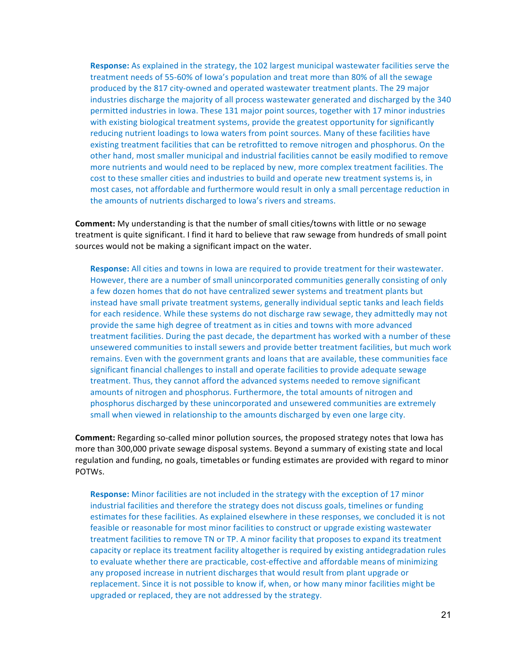**Response:** As explained in the strategy, the 102 largest municipal wastewater facilities serve the treatment needs of 55-60% of lowa's population and treat more than 80% of all the sewage produced by the 817 city-owned and operated wastewater treatment plants. The 29 major industries discharge the majority of all process wastewater generated and discharged by the 340 permitted industries in Iowa. These 131 major point sources, together with 17 minor industries with existing biological treatment systems, provide the greatest opportunity for significantly reducing nutrient loadings to lowa waters from point sources. Many of these facilities have existing treatment facilities that can be retrofitted to remove nitrogen and phosphorus. On the other hand, most smaller municipal and industrial facilities cannot be easily modified to remove more nutrients and would need to be replaced by new, more complex treatment facilities. The cost to these smaller cities and industries to build and operate new treatment systems is, in most cases, not affordable and furthermore would result in only a small percentage reduction in the amounts of nutrients discharged to lowa's rivers and streams.

**Comment:** My understanding is that the number of small cities/towns with little or no sewage treatment is quite significant. I find it hard to believe that raw sewage from hundreds of small point sources would not be making a significant impact on the water.

**Response:** All cities and towns in lowa are required to provide treatment for their wastewater. However, there are a number of small unincorporated communities generally consisting of only a few dozen homes that do not have centralized sewer systems and treatment plants but instead have small private treatment systems, generally individual septic tanks and leach fields for each residence. While these systems do not discharge raw sewage, they admittedly may not provide the same high degree of treatment as in cities and towns with more advanced treatment facilities. During the past decade, the department has worked with a number of these unsewered communities to install sewers and provide better treatment facilities, but much work remains. Even with the government grants and loans that are available, these communities face significant financial challenges to install and operate facilities to provide adequate sewage treatment. Thus, they cannot afford the advanced systems needed to remove significant amounts of nitrogen and phosphorus. Furthermore, the total amounts of nitrogen and phosphorus discharged by these unincorporated and unsewered communities are extremely small when viewed in relationship to the amounts discharged by even one large city.

**Comment:** Regarding so-called minor pollution sources, the proposed strategy notes that lowa has more than 300,000 private sewage disposal systems. Beyond a summary of existing state and local regulation and funding, no goals, timetables or funding estimates are provided with regard to minor POTWs.

**Response:** Minor facilities are not included in the strategy with the exception of 17 minor industrial facilities and therefore the strategy does not discuss goals, timelines or funding estimates for these facilities. As explained elsewhere in these responses, we concluded it is not feasible or reasonable for most minor facilities to construct or upgrade existing wastewater treatment facilities to remove TN or TP. A minor facility that proposes to expand its treatment capacity or replace its treatment facility altogether is required by existing antidegradation rules to evaluate whether there are practicable, cost-effective and affordable means of minimizing any proposed increase in nutrient discharges that would result from plant upgrade or replacement. Since it is not possible to know if, when, or how many minor facilities might be upgraded or replaced, they are not addressed by the strategy.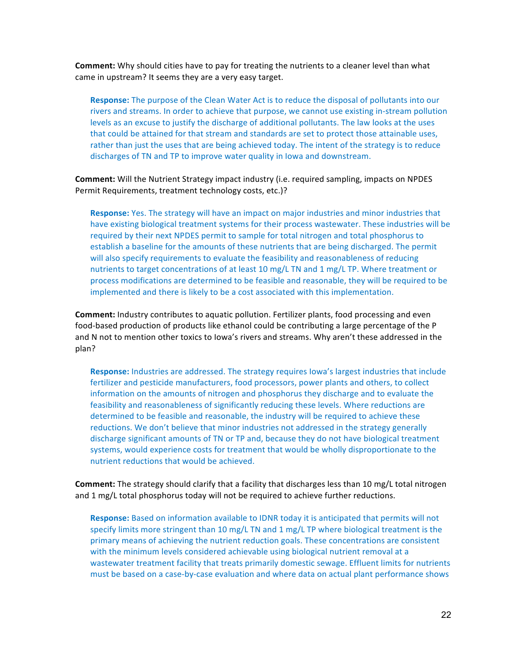**Comment:** Why should cities have to pay for treating the nutrients to a cleaner level than what came in upstream? It seems they are a very easy target.

**Response:** The purpose of the Clean Water Act is to reduce the disposal of pollutants into our rivers and streams. In order to achieve that purpose, we cannot use existing in-stream pollution levels as an excuse to justify the discharge of additional pollutants. The law looks at the uses that could be attained for that stream and standards are set to protect those attainable uses, rather than just the uses that are being achieved today. The intent of the strategy is to reduce discharges of TN and TP to improve water quality in Iowa and downstream.

**Comment:** Will the Nutrient Strategy impact industry (i.e. required sampling, impacts on NPDES Permit Requirements, treatment technology costs, etc.)?

**Response:** Yes. The strategy will have an impact on major industries and minor industries that have existing biological treatment systems for their process wastewater. These industries will be required by their next NPDES permit to sample for total nitrogen and total phosphorus to establish a baseline for the amounts of these nutrients that are being discharged. The permit will also specify requirements to evaluate the feasibility and reasonableness of reducing nutrients to target concentrations of at least 10 mg/L TN and 1 mg/L TP. Where treatment or process modifications are determined to be feasible and reasonable, they will be required to be implemented and there is likely to be a cost associated with this implementation.

**Comment:** Industry contributes to aquatic pollution. Fertilizer plants, food processing and even food-based production of products like ethanol could be contributing a large percentage of the P and N not to mention other toxics to lowa's rivers and streams. Why aren't these addressed in the plan? 

**Response:** Industries are addressed. The strategy requires lowa's largest industries that include fertilizer and pesticide manufacturers, food processors, power plants and others, to collect information on the amounts of nitrogen and phosphorus they discharge and to evaluate the feasibility and reasonableness of significantly reducing these levels. Where reductions are determined to be feasible and reasonable, the industry will be required to achieve these reductions. We don't believe that minor industries not addressed in the strategy generally discharge significant amounts of TN or TP and, because they do not have biological treatment systems, would experience costs for treatment that would be wholly disproportionate to the nutrient reductions that would be achieved.

**Comment:** The strategy should clarify that a facility that discharges less than 10 mg/L total nitrogen and 1 mg/L total phosphorus today will not be required to achieve further reductions.

**Response:** Based on information available to IDNR today it is anticipated that permits will not specify limits more stringent than 10 mg/L TN and 1 mg/L TP where biological treatment is the primary means of achieving the nutrient reduction goals. These concentrations are consistent with the minimum levels considered achievable using biological nutrient removal at a wastewater treatment facility that treats primarily domestic sewage. Effluent limits for nutrients must be based on a case-by-case evaluation and where data on actual plant performance shows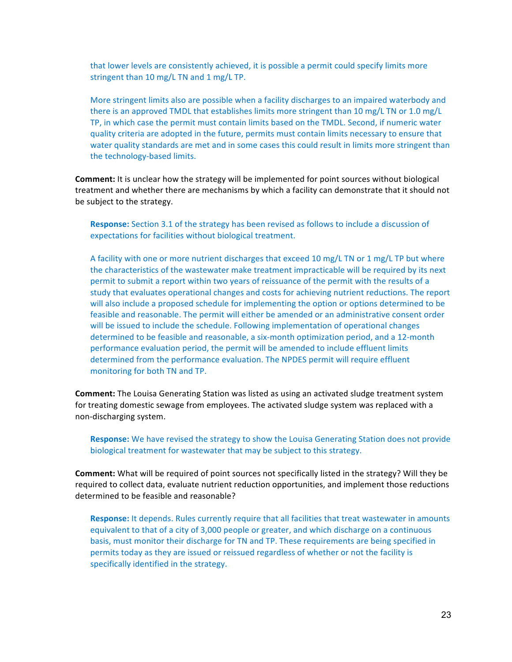that lower levels are consistently achieved, it is possible a permit could specify limits more stringent than  $10 \text{ mg/L}$  TN and  $1 \text{ mg/L}$  TP.

More stringent limits also are possible when a facility discharges to an impaired waterbody and there is an approved TMDL that establishes limits more stringent than 10 mg/L TN or 1.0 mg/L TP, in which case the permit must contain limits based on the TMDL. Second, if numeric water quality criteria are adopted in the future, permits must contain limits necessary to ensure that water quality standards are met and in some cases this could result in limits more stringent than the technology-based limits.

**Comment:** It is unclear how the strategy will be implemented for point sources without biological treatment and whether there are mechanisms by which a facility can demonstrate that it should not be subject to the strategy.

**Response:** Section 3.1 of the strategy has been revised as follows to include a discussion of expectations for facilities without biological treatment.

A facility with one or more nutrient discharges that exceed  $10 \text{ mg/L}$  TN or 1 mg/L TP but where the characteristics of the wastewater make treatment impracticable will be required by its next permit to submit a report within two years of reissuance of the permit with the results of a study that evaluates operational changes and costs for achieving nutrient reductions. The report will also include a proposed schedule for implementing the option or options determined to be feasible and reasonable. The permit will either be amended or an administrative consent order will be issued to include the schedule. Following implementation of operational changes determined to be feasible and reasonable, a six-month optimization period, and a 12-month performance evaluation period, the permit will be amended to include effluent limits determined from the performance evaluation. The NPDES permit will require effluent monitoring for both TN and TP.

**Comment:** The Louisa Generating Station was listed as using an activated sludge treatment system for treating domestic sewage from employees. The activated sludge system was replaced with a non-discharging system.

**Response:** We have revised the strategy to show the Louisa Generating Station does not provide biological treatment for wastewater that may be subject to this strategy.

**Comment:** What will be required of point sources not specifically listed in the strategy? Will they be required to collect data, evaluate nutrient reduction opportunities, and implement those reductions determined to be feasible and reasonable?

**Response:** It depends. Rules currently require that all facilities that treat wastewater in amounts equivalent to that of a city of 3,000 people or greater, and which discharge on a continuous basis, must monitor their discharge for TN and TP. These requirements are being specified in permits today as they are issued or reissued regardless of whether or not the facility is specifically identified in the strategy.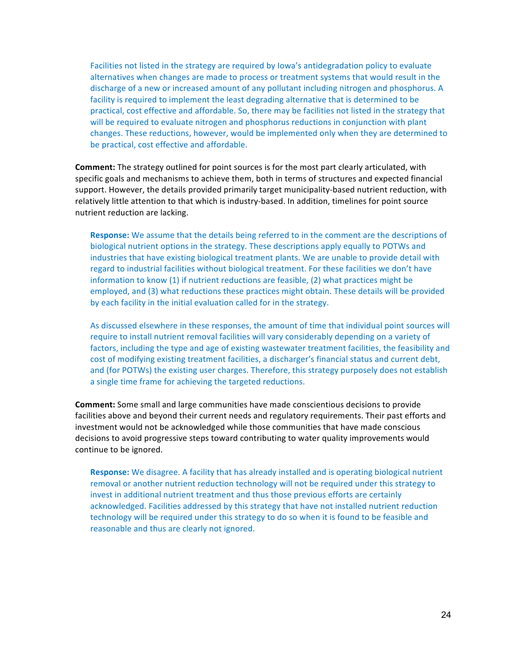Facilities not listed in the strategy are required by lowa's antidegradation policy to evaluate alternatives when changes are made to process or treatment systems that would result in the discharge of a new or increased amount of any pollutant including nitrogen and phosphorus. A facility is required to implement the least degrading alternative that is determined to be practical, cost effective and affordable. So, there may be facilities not listed in the strategy that will be required to evaluate nitrogen and phosphorus reductions in conjunction with plant changes. These reductions, however, would be implemented only when they are determined to be practical, cost effective and affordable.

**Comment:** The strategy outlined for point sources is for the most part clearly articulated, with specific goals and mechanisms to achieve them, both in terms of structures and expected financial support. However, the details provided primarily target municipality-based nutrient reduction, with relatively little attention to that which is industry-based. In addition, timelines for point source nutrient reduction are lacking.

**Response:** We assume that the details being referred to in the comment are the descriptions of biological nutrient options in the strategy. These descriptions apply equally to POTWs and industries that have existing biological treatment plants. We are unable to provide detail with regard to industrial facilities without biological treatment. For these facilities we don't have information to know  $(1)$  if nutrient reductions are feasible,  $(2)$  what practices might be employed, and (3) what reductions these practices might obtain. These details will be provided by each facility in the initial evaluation called for in the strategy.

As discussed elsewhere in these responses, the amount of time that individual point sources will require to install nutrient removal facilities will vary considerably depending on a variety of factors, including the type and age of existing wastewater treatment facilities, the feasibility and cost of modifying existing treatment facilities, a discharger's financial status and current debt, and (for POTWs) the existing user charges. Therefore, this strategy purposely does not establish a single time frame for achieving the targeted reductions.

**Comment:** Some small and large communities have made conscientious decisions to provide facilities above and beyond their current needs and regulatory requirements. Their past efforts and investment would not be acknowledged while those communities that have made conscious decisions to avoid progressive steps toward contributing to water quality improvements would continue to be ignored.

**Response:** We disagree. A facility that has already installed and is operating biological nutrient removal or another nutrient reduction technology will not be required under this strategy to invest in additional nutrient treatment and thus those previous efforts are certainly acknowledged. Facilities addressed by this strategy that have not installed nutrient reduction technology will be required under this strategy to do so when it is found to be feasible and reasonable and thus are clearly not ignored.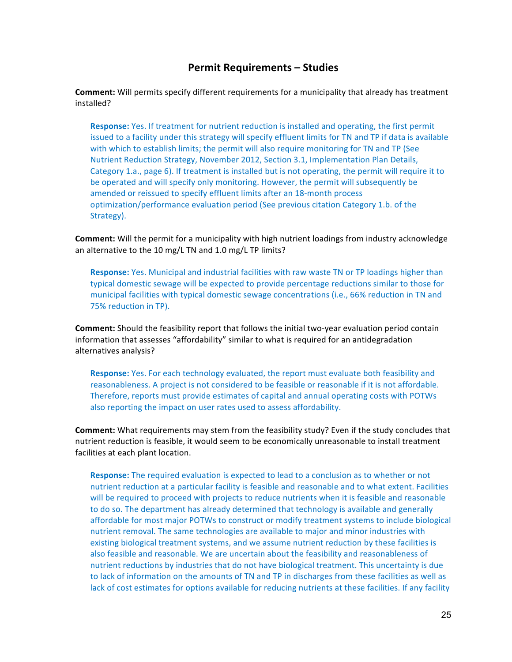## **Permit Requirements – Studies**

**Comment:** Will permits specify different requirements for a municipality that already has treatment installed?

**Response:** Yes. If treatment for nutrient reduction is installed and operating, the first permit issued to a facility under this strategy will specify effluent limits for TN and TP if data is available with which to establish limits; the permit will also require monitoring for TN and TP (See Nutrient Reduction Strategy, November 2012, Section 3.1, Implementation Plan Details, Category 1.a., page 6). If treatment is installed but is not operating, the permit will require it to be operated and will specify only monitoring. However, the permit will subsequently be amended or reissued to specify effluent limits after an 18-month process optimization/performance evaluation period (See previous citation Category 1.b. of the Strategy).

**Comment:** Will the permit for a municipality with high nutrient loadings from industry acknowledge an alternative to the 10 mg/L TN and 1.0 mg/L TP limits?

**Response:** Yes. Municipal and industrial facilities with raw waste TN or TP loadings higher than typical domestic sewage will be expected to provide percentage reductions similar to those for municipal facilities with typical domestic sewage concentrations (i.e., 66% reduction in TN and 75% reduction in TP).

**Comment:** Should the feasibility report that follows the initial two-year evaluation period contain information that assesses "affordability" similar to what is required for an antidegradation alternatives analysis?

**Response:** Yes. For each technology evaluated, the report must evaluate both feasibility and reasonableness. A project is not considered to be feasible or reasonable if it is not affordable. Therefore, reports must provide estimates of capital and annual operating costs with POTWs also reporting the impact on user rates used to assess affordability.

**Comment:** What requirements may stem from the feasibility study? Even if the study concludes that nutrient reduction is feasible, it would seem to be economically unreasonable to install treatment facilities at each plant location.

**Response:** The required evaluation is expected to lead to a conclusion as to whether or not nutrient reduction at a particular facility is feasible and reasonable and to what extent. Facilities will be required to proceed with projects to reduce nutrients when it is feasible and reasonable to do so. The department has already determined that technology is available and generally affordable for most major POTWs to construct or modify treatment systems to include biological nutrient removal. The same technologies are available to major and minor industries with existing biological treatment systems, and we assume nutrient reduction by these facilities is also feasible and reasonable. We are uncertain about the feasibility and reasonableness of nutrient reductions by industries that do not have biological treatment. This uncertainty is due to lack of information on the amounts of TN and TP in discharges from these facilities as well as lack of cost estimates for options available for reducing nutrients at these facilities. If any facility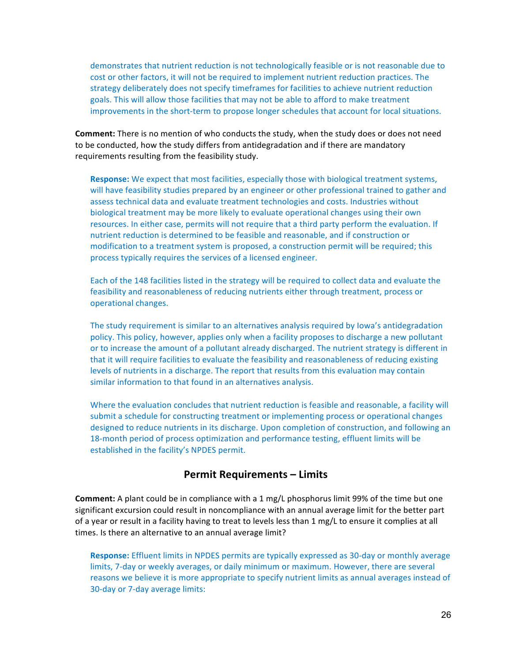demonstrates that nutrient reduction is not technologically feasible or is not reasonable due to cost or other factors, it will not be required to implement nutrient reduction practices. The strategy deliberately does not specify timeframes for facilities to achieve nutrient reduction goals. This will allow those facilities that may not be able to afford to make treatment improvements in the short-term to propose longer schedules that account for local situations.

**Comment:** There is no mention of who conducts the study, when the study does or does not need to be conducted, how the study differs from antidegradation and if there are mandatory requirements resulting from the feasibility study.

**Response:** We expect that most facilities, especially those with biological treatment systems, will have feasibility studies prepared by an engineer or other professional trained to gather and assess technical data and evaluate treatment technologies and costs. Industries without biological treatment may be more likely to evaluate operational changes using their own resources. In either case, permits will not require that a third party perform the evaluation. If nutrient reduction is determined to be feasible and reasonable, and if construction or modification to a treatment system is proposed, a construction permit will be required; this process typically requires the services of a licensed engineer.

Each of the 148 facilities listed in the strategy will be required to collect data and evaluate the feasibility and reasonableness of reducing nutrients either through treatment, process or operational changes.

The study requirement is similar to an alternatives analysis required by Iowa's antidegradation policy. This policy, however, applies only when a facility proposes to discharge a new pollutant or to increase the amount of a pollutant already discharged. The nutrient strategy is different in that it will require facilities to evaluate the feasibility and reasonableness of reducing existing levels of nutrients in a discharge. The report that results from this evaluation may contain similar information to that found in an alternatives analysis.

Where the evaluation concludes that nutrient reduction is feasible and reasonable, a facility will submit a schedule for constructing treatment or implementing process or operational changes designed to reduce nutrients in its discharge. Upon completion of construction, and following an 18-month period of process optimization and performance testing, effluent limits will be established in the facility's NPDES permit.

#### **Permit Requirements – Limits**

**Comment:** A plant could be in compliance with a 1 mg/L phosphorus limit 99% of the time but one significant excursion could result in noncompliance with an annual average limit for the better part of a year or result in a facility having to treat to levels less than 1 mg/L to ensure it complies at all times. Is there an alternative to an annual average limit?

**Response:** Effluent limits in NPDES permits are typically expressed as 30-day or monthly average limits, 7-day or weekly averages, or daily minimum or maximum. However, there are several reasons we believe it is more appropriate to specify nutrient limits as annual averages instead of 30-day or 7-day average limits: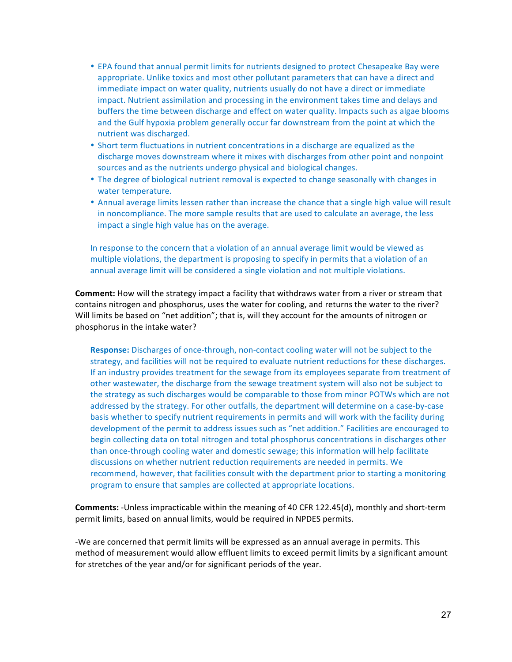- EPA found that annual permit limits for nutrients designed to protect Chesapeake Bay were appropriate. Unlike toxics and most other pollutant parameters that can have a direct and immediate impact on water quality, nutrients usually do not have a direct or immediate impact. Nutrient assimilation and processing in the environment takes time and delays and buffers the time between discharge and effect on water quality. Impacts such as algae blooms and the Gulf hypoxia problem generally occur far downstream from the point at which the nutrient was discharged.
- Short term fluctuations in nutrient concentrations in a discharge are equalized as the discharge moves downstream where it mixes with discharges from other point and nonpoint sources and as the nutrients undergo physical and biological changes.
- The degree of biological nutrient removal is expected to change seasonally with changes in water temperature.
- Annual average limits lessen rather than increase the chance that a single high value will result in noncompliance. The more sample results that are used to calculate an average, the less impact a single high value has on the average.

In response to the concern that a violation of an annual average limit would be viewed as multiple violations, the department is proposing to specify in permits that a violation of an annual average limit will be considered a single violation and not multiple violations.

**Comment:** How will the strategy impact a facility that withdraws water from a river or stream that contains nitrogen and phosphorus, uses the water for cooling, and returns the water to the river? Will limits be based on "net addition"; that is, will they account for the amounts of nitrogen or phosphorus in the intake water?

**Response:** Discharges of once-through, non-contact cooling water will not be subject to the strategy, and facilities will not be required to evaluate nutrient reductions for these discharges. If an industry provides treatment for the sewage from its employees separate from treatment of other wastewater, the discharge from the sewage treatment system will also not be subject to the strategy as such discharges would be comparable to those from minor POTWs which are not addressed by the strategy. For other outfalls, the department will determine on a case-by-case basis whether to specify nutrient requirements in permits and will work with the facility during development of the permit to address issues such as "net addition." Facilities are encouraged to begin collecting data on total nitrogen and total phosphorus concentrations in discharges other than once-through cooling water and domestic sewage; this information will help facilitate discussions on whether nutrient reduction requirements are needed in permits. We recommend, however, that facilities consult with the department prior to starting a monitoring program to ensure that samples are collected at appropriate locations.

**Comments:** -Unless impracticable within the meaning of 40 CFR 122.45(d), monthly and short-term permit limits, based on annual limits, would be required in NPDES permits.

-We are concerned that permit limits will be expressed as an annual average in permits. This method of measurement would allow effluent limits to exceed permit limits by a significant amount for stretches of the year and/or for significant periods of the year.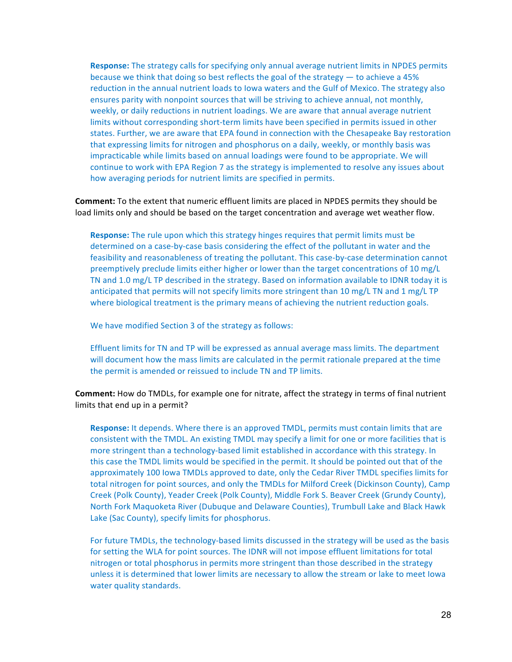**Response:** The strategy calls for specifying only annual average nutrient limits in NPDES permits because we think that doing so best reflects the goal of the strategy  $-$  to achieve a 45% reduction in the annual nutrient loads to lowa waters and the Gulf of Mexico. The strategy also ensures parity with nonpoint sources that will be striving to achieve annual, not monthly, weekly, or daily reductions in nutrient loadings. We are aware that annual average nutrient limits without corresponding short-term limits have been specified in permits issued in other states. Further, we are aware that EPA found in connection with the Chesapeake Bay restoration that expressing limits for nitrogen and phosphorus on a daily, weekly, or monthly basis was impracticable while limits based on annual loadings were found to be appropriate. We will continue to work with EPA Region 7 as the strategy is implemented to resolve any issues about how averaging periods for nutrient limits are specified in permits.

**Comment:** To the extent that numeric effluent limits are placed in NPDES permits they should be load limits only and should be based on the target concentration and average wet weather flow.

**Response:** The rule upon which this strategy hinges requires that permit limits must be determined on a case-by-case basis considering the effect of the pollutant in water and the feasibility and reasonableness of treating the pollutant. This case-by-case determination cannot preemptively preclude limits either higher or lower than the target concentrations of 10 mg/L TN and 1.0 mg/L TP described in the strategy. Based on information available to IDNR today it is anticipated that permits will not specify limits more stringent than 10 mg/L TN and 1 mg/L TP where biological treatment is the primary means of achieving the nutrient reduction goals.

We have modified Section 3 of the strategy as follows:

Effluent limits for TN and TP will be expressed as annual average mass limits. The department will document how the mass limits are calculated in the permit rationale prepared at the time the permit is amended or reissued to include TN and TP limits.

**Comment:** How do TMDLs, for example one for nitrate, affect the strategy in terms of final nutrient limits that end up in a permit?

**Response:** It depends. Where there is an approved TMDL, permits must contain limits that are consistent with the TMDL. An existing TMDL may specify a limit for one or more facilities that is more stringent than a technology-based limit established in accordance with this strategy. In this case the TMDL limits would be specified in the permit. It should be pointed out that of the approximately 100 lowa TMDLs approved to date, only the Cedar River TMDL specifies limits for total nitrogen for point sources, and only the TMDLs for Milford Creek (Dickinson County), Camp Creek (Polk County), Yeader Creek (Polk County), Middle Fork S. Beaver Creek (Grundy County), North Fork Maquoketa River (Dubuque and Delaware Counties), Trumbull Lake and Black Hawk Lake (Sac County), specify limits for phosphorus.

For future TMDLs, the technology-based limits discussed in the strategy will be used as the basis for setting the WLA for point sources. The IDNR will not impose effluent limitations for total nitrogen or total phosphorus in permits more stringent than those described in the strategy unless it is determined that lower limits are necessary to allow the stream or lake to meet lowa water quality standards.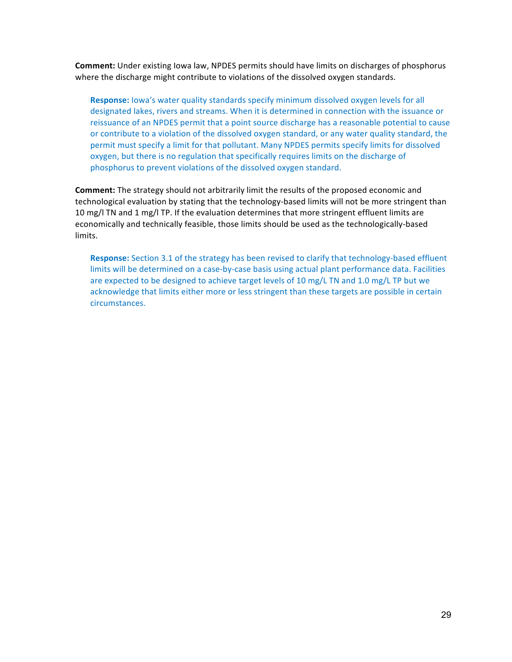**Comment:** Under existing lowa law, NPDES permits should have limits on discharges of phosphorus where the discharge might contribute to violations of the dissolved oxygen standards.

**Response:** lowa's water quality standards specify minimum dissolved oxygen levels for all designated lakes, rivers and streams. When it is determined in connection with the issuance or reissuance of an NPDES permit that a point source discharge has a reasonable potential to cause or contribute to a violation of the dissolved oxygen standard, or any water quality standard, the permit must specify a limit for that pollutant. Many NPDES permits specify limits for dissolved oxygen, but there is no regulation that specifically requires limits on the discharge of phosphorus to prevent violations of the dissolved oxygen standard.

**Comment:** The strategy should not arbitrarily limit the results of the proposed economic and technological evaluation by stating that the technology-based limits will not be more stringent than 10 mg/l TN and 1 mg/l TP. If the evaluation determines that more stringent effluent limits are economically and technically feasible, those limits should be used as the technologically-based limits.

**Response:** Section 3.1 of the strategy has been revised to clarify that technology-based effluent limits will be determined on a case-by-case basis using actual plant performance data. Facilities are expected to be designed to achieve target levels of 10 mg/L TN and 1.0 mg/L TP but we acknowledge that limits either more or less stringent than these targets are possible in certain circumstances.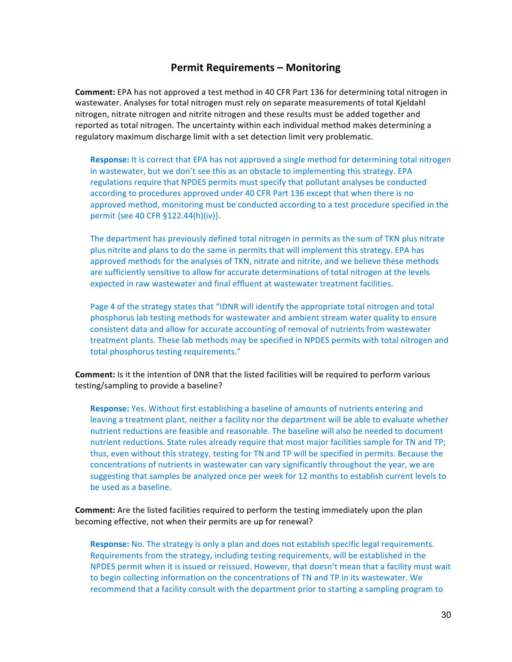### **Permit Requirements – Monitoring**

**Comment:** EPA has not approved a test method in 40 CFR Part 136 for determining total nitrogen in wastewater. Analyses for total nitrogen must rely on separate measurements of total Kjeldahl nitrogen, nitrate nitrogen and nitrite nitrogen and these results must be added together and reported as total nitrogen. The uncertainty within each individual method makes determining a regulatory maximum discharge limit with a set detection limit very problematic.

**Response:** It is correct that EPA has not approved a single method for determining total nitrogen in wastewater, but we don't see this as an obstacle to implementing this strategy. EPA regulations require that NPDES permits must specify that pollutant analyses be conducted according to procedures approved under 40 CFR Part 136 except that when there is no approved method, monitoring must be conducted according to a test procedure specified in the permit {see 40 CFR §122.44(h)(iv)}.

The department has previously defined total nitrogen in permits as the sum of TKN plus nitrate plus nitrite and plans to do the same in permits that will implement this strategy. EPA has approved methods for the analyses of TKN, nitrate and nitrite, and we believe these methods are sufficiently sensitive to allow for accurate determinations of total nitrogen at the levels expected in raw wastewater and final effluent at wastewater treatment facilities.

Page 4 of the strategy states that "IDNR will identify the appropriate total nitrogen and total phosphorus lab testing methods for wastewater and ambient stream water quality to ensure consistent data and allow for accurate accounting of removal of nutrients from wastewater treatment plants. These lab methods may be specified in NPDES permits with total nitrogen and total phosphorus testing requirements."

**Comment:** Is it the intention of DNR that the listed facilities will be required to perform various testing/sampling to provide a baseline?

**Response:** Yes. Without first establishing a baseline of amounts of nutrients entering and leaving a treatment plant, neither a facility nor the department will be able to evaluate whether nutrient reductions are feasible and reasonable. The baseline will also be needed to document nutrient reductions. State rules already require that most major facilities sample for TN and TP; thus, even without this strategy, testing for TN and TP will be specified in permits. Because the concentrations of nutrients in wastewater can vary significantly throughout the year, we are suggesting that samples be analyzed once per week for 12 months to establish current levels to be used as a baseline.

**Comment:** Are the listed facilities required to perform the testing immediately upon the plan becoming effective, not when their permits are up for renewal?

**Response:** No. The strategy is only a plan and does not establish specific legal requirements. Requirements from the strategy, including testing requirements, will be established in the NPDES permit when it is issued or reissued. However, that doesn't mean that a facility must wait to begin collecting information on the concentrations of TN and TP in its wastewater. We recommend that a facility consult with the department prior to starting a sampling program to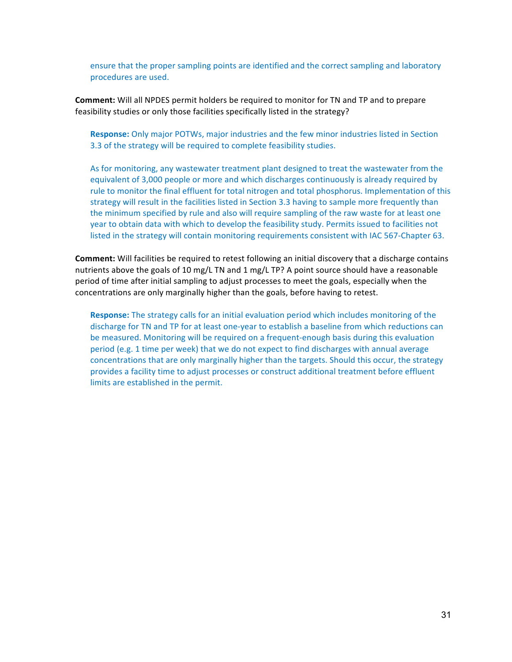ensure that the proper sampling points are identified and the correct sampling and laboratory procedures are used.

**Comment:** Will all NPDES permit holders be required to monitor for TN and TP and to prepare feasibility studies or only those facilities specifically listed in the strategy?

**Response:** Only major POTWs, major industries and the few minor industries listed in Section 3.3 of the strategy will be required to complete feasibility studies.

As for monitoring, any wastewater treatment plant designed to treat the wastewater from the equivalent of 3,000 people or more and which discharges continuously is already required by rule to monitor the final effluent for total nitrogen and total phosphorus. Implementation of this strategy will result in the facilities listed in Section 3.3 having to sample more frequently than the minimum specified by rule and also will require sampling of the raw waste for at least one year to obtain data with which to develop the feasibility study. Permits issued to facilities not listed in the strategy will contain monitoring requirements consistent with IAC 567-Chapter 63.

**Comment:** Will facilities be required to retest following an initial discovery that a discharge contains nutrients above the goals of 10 mg/L TN and 1 mg/L TP? A point source should have a reasonable period of time after initial sampling to adjust processes to meet the goals, especially when the concentrations are only marginally higher than the goals, before having to retest.

**Response:** The strategy calls for an initial evaluation period which includes monitoring of the discharge for TN and TP for at least one-year to establish a baseline from which reductions can be measured. Monitoring will be required on a frequent-enough basis during this evaluation period (e.g. 1 time per week) that we do not expect to find discharges with annual average concentrations that are only marginally higher than the targets. Should this occur, the strategy provides a facility time to adjust processes or construct additional treatment before effluent limits are established in the permit.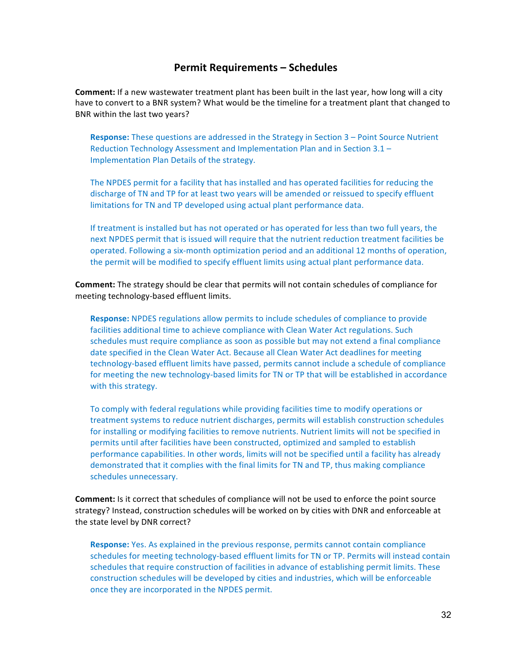## **Permit Requirements – Schedules**

**Comment:** If a new wastewater treatment plant has been built in the last year, how long will a city have to convert to a BNR system? What would be the timeline for a treatment plant that changed to BNR within the last two years?

**Response:** These questions are addressed in the Strategy in Section 3 - Point Source Nutrient Reduction Technology Assessment and Implementation Plan and in Section  $3.1 -$ Implementation Plan Details of the strategy.

The NPDES permit for a facility that has installed and has operated facilities for reducing the discharge of TN and TP for at least two years will be amended or reissued to specify effluent limitations for TN and TP developed using actual plant performance data.

If treatment is installed but has not operated or has operated for less than two full years, the next NPDES permit that is issued will require that the nutrient reduction treatment facilities be operated. Following a six-month optimization period and an additional 12 months of operation, the permit will be modified to specify effluent limits using actual plant performance data.

**Comment:** The strategy should be clear that permits will not contain schedules of compliance for meeting technology-based effluent limits.

**Response:** NPDES regulations allow permits to include schedules of compliance to provide facilities additional time to achieve compliance with Clean Water Act regulations. Such schedules must require compliance as soon as possible but may not extend a final compliance date specified in the Clean Water Act. Because all Clean Water Act deadlines for meeting technology-based effluent limits have passed, permits cannot include a schedule of compliance for meeting the new technology-based limits for TN or TP that will be established in accordance with this strategy.

To comply with federal regulations while providing facilities time to modify operations or treatment systems to reduce nutrient discharges, permits will establish construction schedules for installing or modifying facilities to remove nutrients. Nutrient limits will not be specified in permits until after facilities have been constructed, optimized and sampled to establish performance capabilities. In other words, limits will not be specified until a facility has already demonstrated that it complies with the final limits for TN and TP, thus making compliance schedules unnecessary.

**Comment:** Is it correct that schedules of compliance will not be used to enforce the point source strategy? Instead, construction schedules will be worked on by cities with DNR and enforceable at the state level by DNR correct?

**Response:** Yes. As explained in the previous response, permits cannot contain compliance schedules for meeting technology-based effluent limits for TN or TP. Permits will instead contain schedules that require construction of facilities in advance of establishing permit limits. These construction schedules will be developed by cities and industries, which will be enforceable once they are incorporated in the NPDES permit.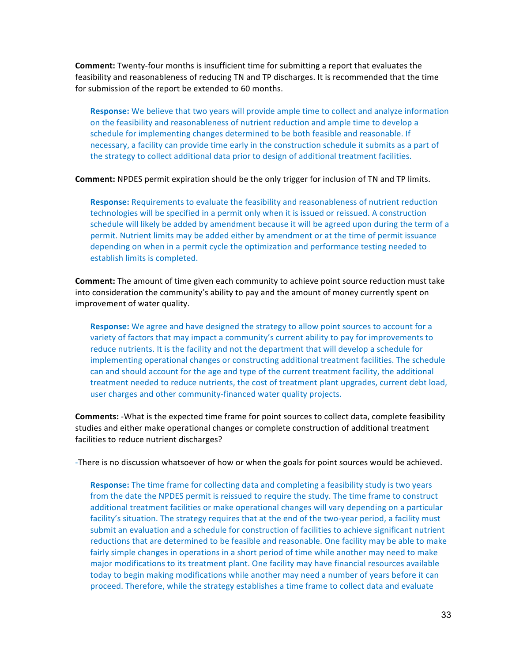**Comment:** Twenty-four months is insufficient time for submitting a report that evaluates the feasibility and reasonableness of reducing TN and TP discharges. It is recommended that the time for submission of the report be extended to 60 months.

**Response:** We believe that two years will provide ample time to collect and analyze information on the feasibility and reasonableness of nutrient reduction and ample time to develop a schedule for implementing changes determined to be both feasible and reasonable. If necessary, a facility can provide time early in the construction schedule it submits as a part of the strategy to collect additional data prior to design of additional treatment facilities.

**Comment:** NPDES permit expiration should be the only trigger for inclusion of TN and TP limits.

**Response:** Requirements to evaluate the feasibility and reasonableness of nutrient reduction technologies will be specified in a permit only when it is issued or reissued. A construction schedule will likely be added by amendment because it will be agreed upon during the term of a permit. Nutrient limits may be added either by amendment or at the time of permit issuance depending on when in a permit cycle the optimization and performance testing needed to establish limits is completed.

**Comment:** The amount of time given each community to achieve point source reduction must take into consideration the community's ability to pay and the amount of money currently spent on improvement of water quality.

**Response:** We agree and have designed the strategy to allow point sources to account for a variety of factors that may impact a community's current ability to pay for improvements to reduce nutrients. It is the facility and not the department that will develop a schedule for implementing operational changes or constructing additional treatment facilities. The schedule can and should account for the age and type of the current treatment facility, the additional treatment needed to reduce nutrients, the cost of treatment plant upgrades, current debt load, user charges and other community-financed water quality projects.

**Comments:** -What is the expected time frame for point sources to collect data, complete feasibility studies and either make operational changes or complete construction of additional treatment facilities to reduce nutrient discharges?

-There is no discussion whatsoever of how or when the goals for point sources would be achieved.

**Response:** The time frame for collecting data and completing a feasibility study is two years from the date the NPDES permit is reissued to require the study. The time frame to construct additional treatment facilities or make operational changes will vary depending on a particular facility's situation. The strategy requires that at the end of the two-year period, a facility must submit an evaluation and a schedule for construction of facilities to achieve significant nutrient reductions that are determined to be feasible and reasonable. One facility may be able to make fairly simple changes in operations in a short period of time while another may need to make major modifications to its treatment plant. One facility may have financial resources available today to begin making modifications while another may need a number of years before it can proceed. Therefore, while the strategy establishes a time frame to collect data and evaluate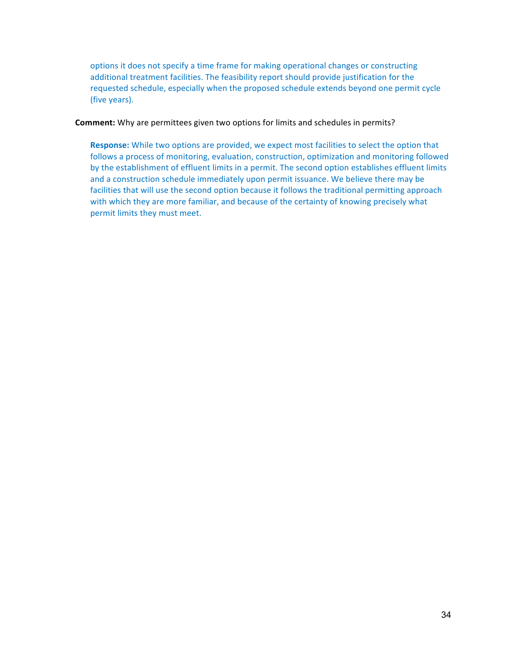options it does not specify a time frame for making operational changes or constructing additional treatment facilities. The feasibility report should provide justification for the requested schedule, especially when the proposed schedule extends beyond one permit cycle (five years).

**Comment:** Why are permittees given two options for limits and schedules in permits?

**Response:** While two options are provided, we expect most facilities to select the option that follows a process of monitoring, evaluation, construction, optimization and monitoring followed by the establishment of effluent limits in a permit. The second option establishes effluent limits and a construction schedule immediately upon permit issuance. We believe there may be facilities that will use the second option because it follows the traditional permitting approach with which they are more familiar, and because of the certainty of knowing precisely what permit limits they must meet.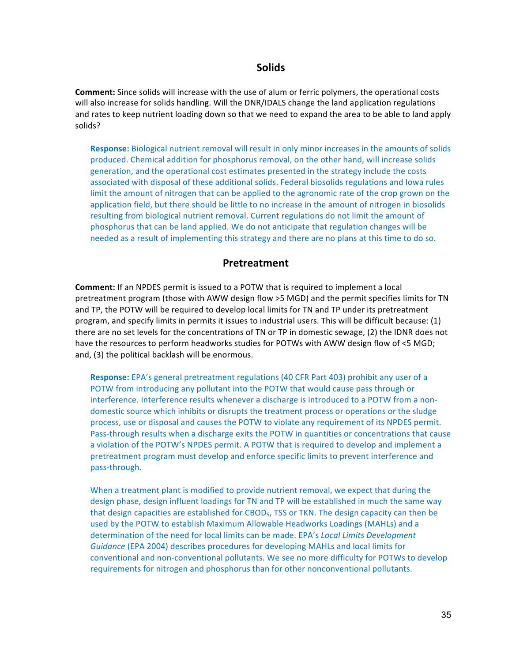#### **Solids**

**Comment:** Since solids will increase with the use of alum or ferric polymers, the operational costs will also increase for solids handling. Will the DNR/IDALS change the land application regulations and rates to keep nutrient loading down so that we need to expand the area to be able to land apply solids?

**Response:** Biological nutrient removal will result in only minor increases in the amounts of solids produced. Chemical addition for phosphorus removal, on the other hand, will increase solids generation, and the operational cost estimates presented in the strategy include the costs associated with disposal of these additional solids. Federal biosolids regulations and lowa rules limit the amount of nitrogen that can be applied to the agronomic rate of the crop grown on the application field, but there should be little to no increase in the amount of nitrogen in biosolids resulting from biological nutrient removal. Current regulations do not limit the amount of phosphorus that can be land applied. We do not anticipate that regulation changes will be needed as a result of implementing this strategy and there are no plans at this time to do so.

#### **Pretreatment**

**Comment:** If an NPDES permit is issued to a POTW that is required to implement a local pretreatment program (those with AWW design flow >5 MGD) and the permit specifies limits for TN and TP, the POTW will be required to develop local limits for TN and TP under its pretreatment program, and specify limits in permits it issues to industrial users. This will be difficult because: (1) there are no set levels for the concentrations of TN or TP in domestic sewage, (2) the IDNR does not have the resources to perform headworks studies for POTWs with AWW design flow of <5 MGD; and, (3) the political backlash will be enormous.

**Response:** EPA's general pretreatment regulations (40 CFR Part 403) prohibit any user of a POTW from introducing any pollutant into the POTW that would cause pass through or interference. Interference results whenever a discharge is introduced to a POTW from a nondomestic source which inhibits or disrupts the treatment process or operations or the sludge process, use or disposal and causes the POTW to violate any requirement of its NPDES permit. Pass-through results when a discharge exits the POTW in quantities or concentrations that cause a violation of the POTW's NPDES permit. A POTW that is required to develop and implement a pretreatment program must develop and enforce specific limits to prevent interference and pass-through.

When a treatment plant is modified to provide nutrient removal, we expect that during the design phase, design influent loadings for TN and TP will be established in much the same way that design capacities are established for CBOD<sub>5</sub>, TSS or TKN. The design capacity can then be used by the POTW to establish Maximum Allowable Headworks Loadings (MAHLs) and a determination of the need for local limits can be made. EPA's *Local Limits Development* Guidance (EPA 2004) describes procedures for developing MAHLs and local limits for conventional and non-conventional pollutants. We see no more difficulty for POTWs to develop requirements for nitrogen and phosphorus than for other nonconventional pollutants.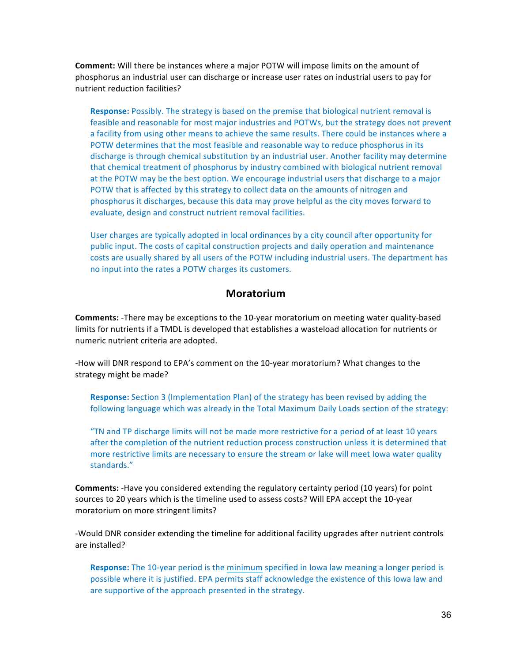**Comment:** Will there be instances where a major POTW will impose limits on the amount of phosphorus an industrial user can discharge or increase user rates on industrial users to pay for nutrient reduction facilities?

**Response:** Possibly. The strategy is based on the premise that biological nutrient removal is feasible and reasonable for most major industries and POTWs, but the strategy does not prevent a facility from using other means to achieve the same results. There could be instances where a POTW determines that the most feasible and reasonable way to reduce phosphorus in its discharge is through chemical substitution by an industrial user. Another facility may determine that chemical treatment of phosphorus by industry combined with biological nutrient removal at the POTW may be the best option. We encourage industrial users that discharge to a major POTW that is affected by this strategy to collect data on the amounts of nitrogen and phosphorus it discharges, because this data may prove helpful as the city moves forward to evaluate, design and construct nutrient removal facilities.

User charges are typically adopted in local ordinances by a city council after opportunity for public input. The costs of capital construction projects and daily operation and maintenance costs are usually shared by all users of the POTW including industrial users. The department has no input into the rates a POTW charges its customers.

#### **Moratorium**

**Comments:** -There may be exceptions to the 10-year moratorium on meeting water quality-based limits for nutrients if a TMDL is developed that establishes a wasteload allocation for nutrients or numeric nutrient criteria are adopted.

-How will DNR respond to EPA's comment on the 10-year moratorium? What changes to the strategy might be made?

**Response:** Section 3 (Implementation Plan) of the strategy has been revised by adding the following language which was already in the Total Maximum Daily Loads section of the strategy:

"TN and TP discharge limits will not be made more restrictive for a period of at least 10 years after the completion of the nutrient reduction process construction unless it is determined that more restrictive limits are necessary to ensure the stream or lake will meet lowa water quality standards."

**Comments:** -Have you considered extending the regulatory certainty period (10 years) for point sources to 20 years which is the timeline used to assess costs? Will EPA accept the 10-year moratorium on more stringent limits?

-Would DNR consider extending the timeline for additional facility upgrades after nutrient controls are installed?

**Response:** The 10-year period is the minimum specified in lowa law meaning a longer period is possible where it is justified. EPA permits staff acknowledge the existence of this lowa law and are supportive of the approach presented in the strategy.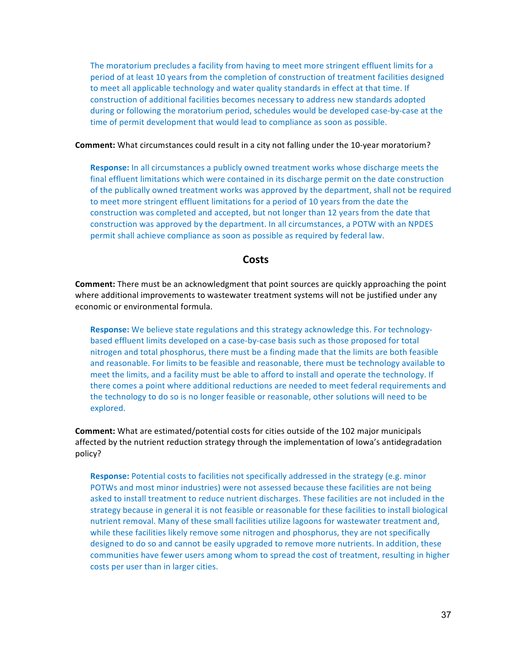The moratorium precludes a facility from having to meet more stringent effluent limits for a period of at least 10 years from the completion of construction of treatment facilities designed to meet all applicable technology and water quality standards in effect at that time. If construction of additional facilities becomes necessary to address new standards adopted during or following the moratorium period, schedules would be developed case-by-case at the time of permit development that would lead to compliance as soon as possible.

**Comment:** What circumstances could result in a city not falling under the 10-year moratorium?

**Response:** In all circumstances a publicly owned treatment works whose discharge meets the final effluent limitations which were contained in its discharge permit on the date construction of the publically owned treatment works was approved by the department, shall not be required to meet more stringent effluent limitations for a period of 10 years from the date the construction was completed and accepted, but not longer than 12 years from the date that construction was approved by the department. In all circumstances, a POTW with an NPDES permit shall achieve compliance as soon as possible as required by federal law.

#### **Costs**

**Comment:** There must be an acknowledgment that point sources are quickly approaching the point where additional improvements to wastewater treatment systems will not be justified under any economic or environmental formula.

**Response:** We believe state regulations and this strategy acknowledge this. For technologybased effluent limits developed on a case-by-case basis such as those proposed for total nitrogen and total phosphorus, there must be a finding made that the limits are both feasible and reasonable. For limits to be feasible and reasonable, there must be technology available to meet the limits, and a facility must be able to afford to install and operate the technology. If there comes a point where additional reductions are needed to meet federal requirements and the technology to do so is no longer feasible or reasonable, other solutions will need to be explored.

**Comment:** What are estimated/potential costs for cities outside of the 102 major municipals affected by the nutrient reduction strategy through the implementation of lowa's antidegradation policy?

**Response:** Potential costs to facilities not specifically addressed in the strategy (e.g. minor POTWs and most minor industries) were not assessed because these facilities are not being asked to install treatment to reduce nutrient discharges. These facilities are not included in the strategy because in general it is not feasible or reasonable for these facilities to install biological nutrient removal. Many of these small facilities utilize lagoons for wastewater treatment and, while these facilities likely remove some nitrogen and phosphorus, they are not specifically designed to do so and cannot be easily upgraded to remove more nutrients. In addition, these communities have fewer users among whom to spread the cost of treatment, resulting in higher costs per user than in larger cities.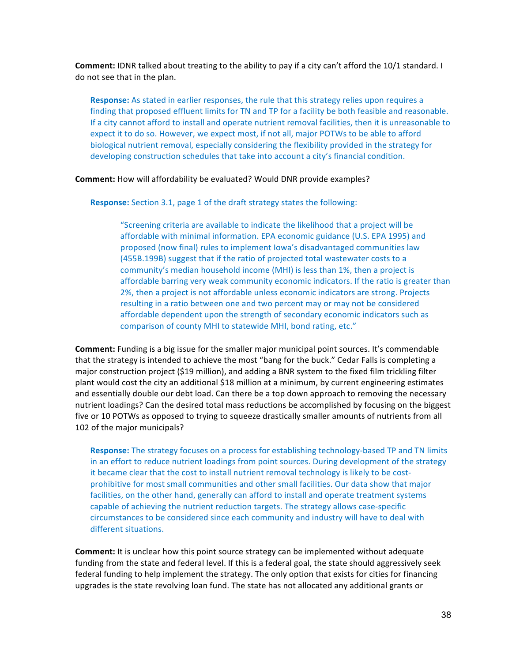**Comment:** IDNR talked about treating to the ability to pay if a city can't afford the 10/1 standard. I do not see that in the plan.

**Response:** As stated in earlier responses, the rule that this strategy relies upon requires a finding that proposed effluent limits for TN and TP for a facility be both feasible and reasonable. If a city cannot afford to install and operate nutrient removal facilities, then it is unreasonable to expect it to do so. However, we expect most, if not all, major POTWs to be able to afford biological nutrient removal, especially considering the flexibility provided in the strategy for developing construction schedules that take into account a city's financial condition.

#### **Comment:** How will affordability be evaluated? Would DNR provide examples?

**Response:** Section 3.1, page 1 of the draft strategy states the following:

"Screening criteria are available to indicate the likelihood that a project will be affordable with minimal information. EPA economic guidance (U.S. EPA 1995) and proposed (now final) rules to implement lowa's disadvantaged communities law (455B.199B) suggest that if the ratio of projected total wastewater costs to a community's median household income (MHI) is less than 1%, then a project is affordable barring very weak community economic indicators. If the ratio is greater than 2%, then a project is not affordable unless economic indicators are strong. Projects resulting in a ratio between one and two percent may or may not be considered affordable dependent upon the strength of secondary economic indicators such as comparison of county MHI to statewide MHI, bond rating, etc."

**Comment:** Funding is a big issue for the smaller major municipal point sources. It's commendable that the strategy is intended to achieve the most "bang for the buck." Cedar Falls is completing a major construction project (\$19 million), and adding a BNR system to the fixed film trickling filter plant would cost the city an additional \$18 million at a minimum, by current engineering estimates and essentially double our debt load. Can there be a top down approach to removing the necessary nutrient loadings? Can the desired total mass reductions be accomplished by focusing on the biggest five or 10 POTWs as opposed to trying to squeeze drastically smaller amounts of nutrients from all 102 of the major municipals?

**Response:** The strategy focuses on a process for establishing technology-based TP and TN limits in an effort to reduce nutrient loadings from point sources. During development of the strategy it became clear that the cost to install nutrient removal technology is likely to be costprohibitive for most small communities and other small facilities. Our data show that major facilities, on the other hand, generally can afford to install and operate treatment systems capable of achieving the nutrient reduction targets. The strategy allows case-specific circumstances to be considered since each community and industry will have to deal with different situations.

**Comment:** It is unclear how this point source strategy can be implemented without adequate funding from the state and federal level. If this is a federal goal, the state should aggressively seek federal funding to help implement the strategy. The only option that exists for cities for financing upgrades is the state revolving loan fund. The state has not allocated any additional grants or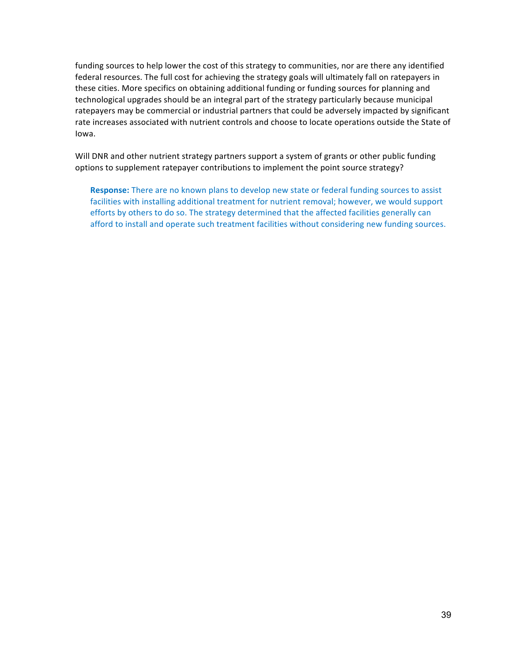funding sources to help lower the cost of this strategy to communities, nor are there any identified federal resources. The full cost for achieving the strategy goals will ultimately fall on ratepayers in these cities. More specifics on obtaining additional funding or funding sources for planning and technological upgrades should be an integral part of the strategy particularly because municipal ratepayers may be commercial or industrial partners that could be adversely impacted by significant rate increases associated with nutrient controls and choose to locate operations outside the State of Iowa.

Will DNR and other nutrient strategy partners support a system of grants or other public funding options to supplement ratepayer contributions to implement the point source strategy?

**Response:** There are no known plans to develop new state or federal funding sources to assist facilities with installing additional treatment for nutrient removal; however, we would support efforts by others to do so. The strategy determined that the affected facilities generally can afford to install and operate such treatment facilities without considering new funding sources.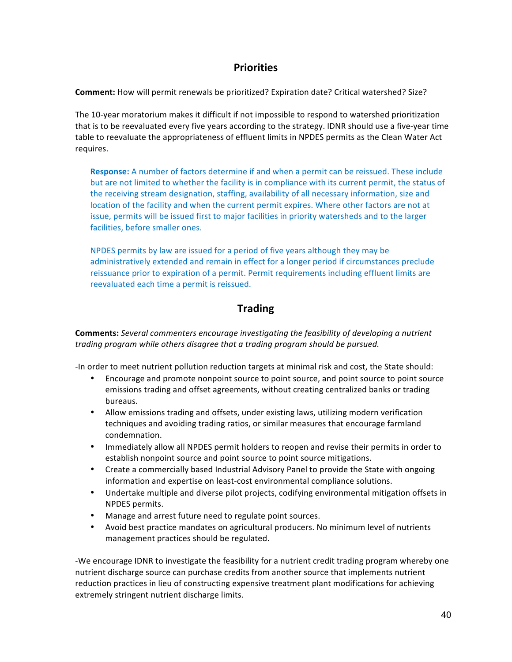## **Priorities**

**Comment:** How will permit renewals be prioritized? Expiration date? Critical watershed? Size?

The 10-year moratorium makes it difficult if not impossible to respond to watershed prioritization that is to be reevaluated every five years according to the strategy. IDNR should use a five-year time table to reevaluate the appropriateness of effluent limits in NPDES permits as the Clean Water Act requires.

**Response:** A number of factors determine if and when a permit can be reissued. These include but are not limited to whether the facility is in compliance with its current permit, the status of the receiving stream designation, staffing, availability of all necessary information, size and location of the facility and when the current permit expires. Where other factors are not at issue, permits will be issued first to major facilities in priority watersheds and to the larger facilities, before smaller ones.

NPDES permits by law are issued for a period of five years although they may be administratively extended and remain in effect for a longer period if circumstances preclude reissuance prior to expiration of a permit. Permit requirements including effluent limits are reevaluated each time a permit is reissued.

## **Trading**

**Comments:** *Several commenters encourage investigating the feasibility of developing a nutrient* trading program while others disagree that a trading program should be pursued.

-In order to meet nutrient pollution reduction targets at minimal risk and cost, the State should:

- Encourage and promote nonpoint source to point source, and point source to point source emissions trading and offset agreements, without creating centralized banks or trading bureaus.
- Allow emissions trading and offsets, under existing laws, utilizing modern verification techniques and avoiding trading ratios, or similar measures that encourage farmland condemnation.
- Immediately allow all NPDES permit holders to reopen and revise their permits in order to establish nonpoint source and point source to point source mitigations.
- Create a commercially based Industrial Advisory Panel to provide the State with ongoing information and expertise on least-cost environmental compliance solutions.
- Undertake multiple and diverse pilot projects, codifying environmental mitigation offsets in NPDES permits.
- Manage and arrest future need to regulate point sources.
- Avoid best practice mandates on agricultural producers. No minimum level of nutrients management practices should be regulated.

-We encourage IDNR to investigate the feasibility for a nutrient credit trading program whereby one nutrient discharge source can purchase credits from another source that implements nutrient reduction practices in lieu of constructing expensive treatment plant modifications for achieving extremely stringent nutrient discharge limits.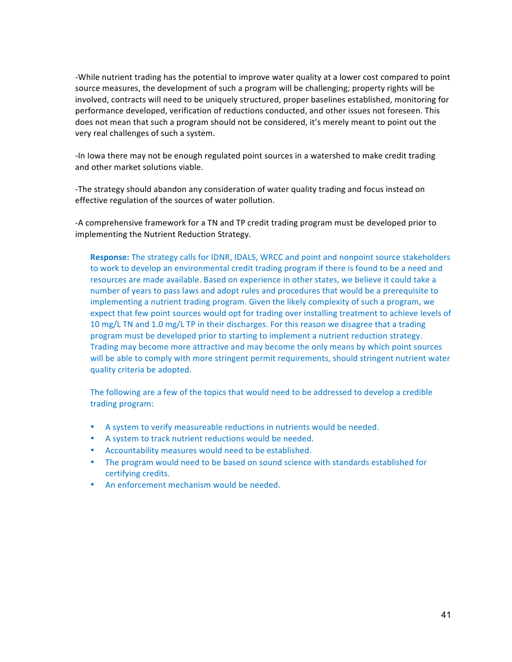-While nutrient trading has the potential to improve water quality at a lower cost compared to point source measures, the development of such a program will be challenging; property rights will be involved, contracts will need to be uniquely structured, proper baselines established, monitoring for performance developed, verification of reductions conducted, and other issues not foreseen. This does not mean that such a program should not be considered, it's merely meant to point out the very real challenges of such a system.

-In lowa there may not be enough regulated point sources in a watershed to make credit trading and other market solutions viable.

-The strategy should abandon any consideration of water quality trading and focus instead on effective regulation of the sources of water pollution.

-A comprehensive framework for a TN and TP credit trading program must be developed prior to implementing the Nutrient Reduction Strategy.

**Response:** The strategy calls for IDNR, IDALS, WRCC and point and nonpoint source stakeholders to work to develop an environmental credit trading program if there is found to be a need and resources are made available. Based on experience in other states, we believe it could take a number of years to pass laws and adopt rules and procedures that would be a prerequisite to implementing a nutrient trading program. Given the likely complexity of such a program, we expect that few point sources would opt for trading over installing treatment to achieve levels of 10 mg/L TN and 1.0 mg/L TP in their discharges. For this reason we disagree that a trading program must be developed prior to starting to implement a nutrient reduction strategy. Trading may become more attractive and may become the only means by which point sources will be able to comply with more stringent permit requirements, should stringent nutrient water quality criteria be adopted.

The following are a few of the topics that would need to be addressed to develop a credible trading program:

- A system to verify measureable reductions in nutrients would be needed.
- A system to track nutrient reductions would be needed.
- Accountability measures would need to be established.
- The program would need to be based on sound science with standards established for certifying credits.
- An enforcement mechanism would be needed.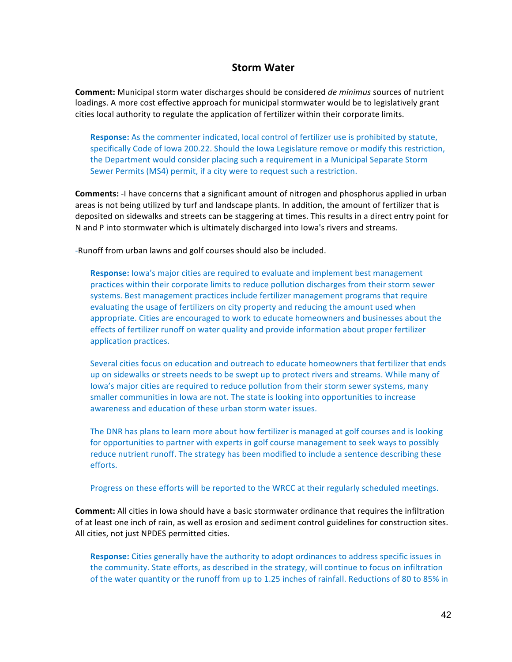### **Storm Water**

**Comment:** Municipal storm water discharges should be considered *de minimus* sources of nutrient loadings. A more cost effective approach for municipal stormwater would be to legislatively grant cities local authority to regulate the application of fertilizer within their corporate limits.

**Response:** As the commenter indicated, local control of fertilizer use is prohibited by statute, specifically Code of Iowa 200.22. Should the Iowa Legislature remove or modify this restriction, the Department would consider placing such a requirement in a Municipal Separate Storm Sewer Permits (MS4) permit, if a city were to request such a restriction.

**Comments:** -I have concerns that a significant amount of nitrogen and phosphorus applied in urban areas is not being utilized by turf and landscape plants. In addition, the amount of fertilizer that is deposited on sidewalks and streets can be staggering at times. This results in a direct entry point for N and P into stormwater which is ultimately discharged into lowa's rivers and streams.

-Runoff from urban lawns and golf courses should also be included.

**Response:** Iowa's major cities are required to evaluate and implement best management practices within their corporate limits to reduce pollution discharges from their storm sewer systems. Best management practices include fertilizer management programs that require evaluating the usage of fertilizers on city property and reducing the amount used when appropriate. Cities are encouraged to work to educate homeowners and businesses about the effects of fertilizer runoff on water quality and provide information about proper fertilizer application practices.

Several cities focus on education and outreach to educate homeowners that fertilizer that ends up on sidewalks or streets needs to be swept up to protect rivers and streams. While many of lowa's major cities are required to reduce pollution from their storm sewer systems, many smaller communities in lowa are not. The state is looking into opportunities to increase awareness and education of these urban storm water issues.

The DNR has plans to learn more about how fertilizer is managed at golf courses and is looking for opportunities to partner with experts in golf course management to seek ways to possibly reduce nutrient runoff. The strategy has been modified to include a sentence describing these efforts.

Progress on these efforts will be reported to the WRCC at their regularly scheduled meetings.

**Comment:** All cities in lowa should have a basic stormwater ordinance that requires the infiltration of at least one inch of rain, as well as erosion and sediment control guidelines for construction sites. All cities, not just NPDES permitted cities.

**Response:** Cities generally have the authority to adopt ordinances to address specific issues in the community. State efforts, as described in the strategy, will continue to focus on infiltration of the water quantity or the runoff from up to 1.25 inches of rainfall. Reductions of 80 to 85% in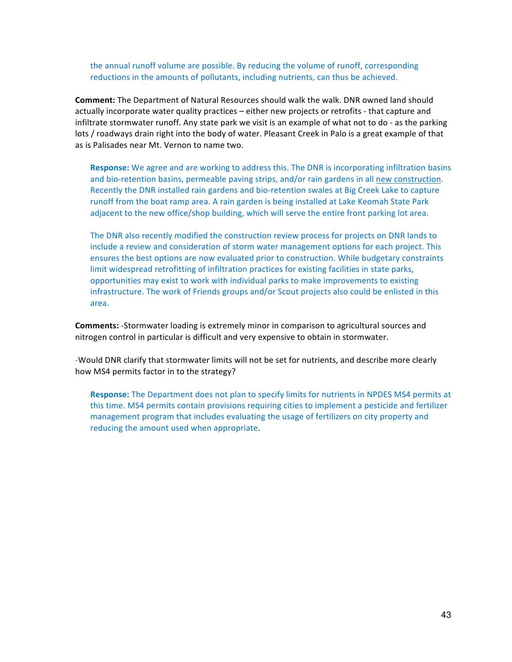the annual runoff volume are possible. By reducing the volume of runoff, corresponding reductions in the amounts of pollutants, including nutrients, can thus be achieved.

**Comment:** The Department of Natural Resources should walk the walk. DNR owned land should actually incorporate water quality practices – either new projects or retrofits - that capture and infiltrate stormwater runoff. Any state park we visit is an example of what not to do - as the parking lots / roadways drain right into the body of water. Pleasant Creek in Palo is a great example of that as is Palisades near Mt. Vernon to name two.

**Response:** We agree and are working to address this. The DNR is incorporating infiltration basins and bio-retention basins, permeable paving strips, and/or rain gardens in all new construction. Recently the DNR installed rain gardens and bio-retention swales at Big Creek Lake to capture runoff from the boat ramp area. A rain garden is being installed at Lake Keomah State Park adjacent to the new office/shop building, which will serve the entire front parking lot area.

The DNR also recently modified the construction review process for projects on DNR lands to include a review and consideration of storm water management options for each project. This ensures the best options are now evaluated prior to construction. While budgetary constraints limit widespread retrofitting of infiltration practices for existing facilities in state parks, opportunities may exist to work with individual parks to make improvements to existing infrastructure. The work of Friends groups and/or Scout projects also could be enlisted in this area.

**Comments:** -Stormwater loading is extremely minor in comparison to agricultural sources and nitrogen control in particular is difficult and very expensive to obtain in stormwater.

-Would DNR clarify that stormwater limits will not be set for nutrients, and describe more clearly how MS4 permits factor in to the strategy?

**Response:** The Department does not plan to specify limits for nutrients in NPDES MS4 permits at this time. MS4 permits contain provisions requiring cities to implement a pesticide and fertilizer management program that includes evaluating the usage of fertilizers on city property and reducing the amount used when appropriate.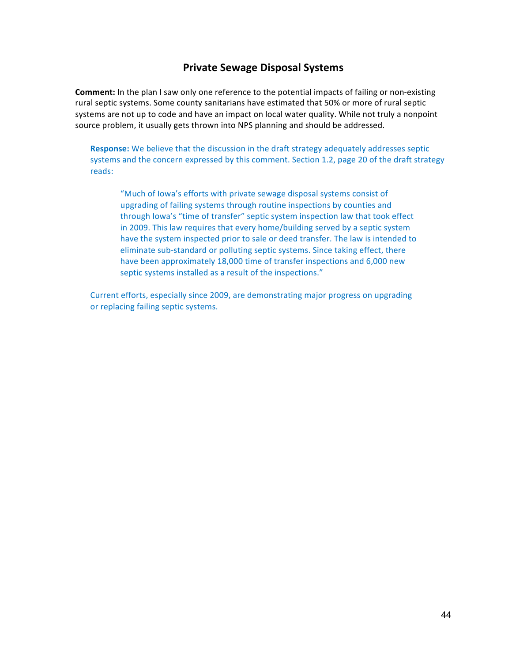## **Private Sewage Disposal Systems**

**Comment:** In the plan I saw only one reference to the potential impacts of failing or non-existing rural septic systems. Some county sanitarians have estimated that 50% or more of rural septic systems are not up to code and have an impact on local water quality. While not truly a nonpoint source problem, it usually gets thrown into NPS planning and should be addressed.

**Response:** We believe that the discussion in the draft strategy adequately addresses septic systems and the concern expressed by this comment. Section 1.2, page 20 of the draft strategy reads:

"Much of lowa's efforts with private sewage disposal systems consist of upgrading of failing systems through routine inspections by counties and through lowa's "time of transfer" septic system inspection law that took effect in 2009. This law requires that every home/building served by a septic system have the system inspected prior to sale or deed transfer. The law is intended to eliminate sub-standard or polluting septic systems. Since taking effect, there have been approximately 18,000 time of transfer inspections and 6,000 new septic systems installed as a result of the inspections."

Current efforts, especially since 2009, are demonstrating major progress on upgrading or replacing failing septic systems.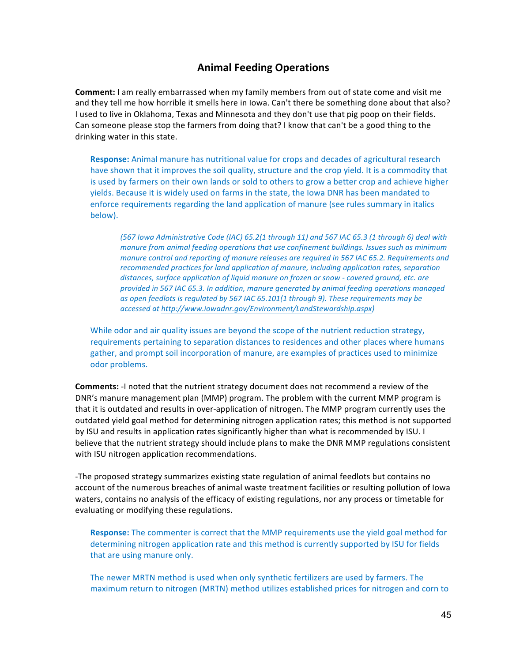## **Animal Feeding Operations**

**Comment:** I am really embarrassed when my family members from out of state come and visit me and they tell me how horrible it smells here in lowa. Can't there be something done about that also? I used to live in Oklahoma, Texas and Minnesota and they don't use that pig poop on their fields. Can someone please stop the farmers from doing that? I know that can't be a good thing to the drinking water in this state.

**Response:** Animal manure has nutritional value for crops and decades of agricultural research have shown that it improves the soil quality, structure and the crop yield. It is a commodity that is used by farmers on their own lands or sold to others to grow a better crop and achieve higher yields. Because it is widely used on farms in the state, the lowa DNR has been mandated to enforce requirements regarding the land application of manure (see rules summary in italics below). 

*(567 Iowa Administrative Code (IAC) 65.2(1 through 11) and 567 IAC 65.3 (1 through 6) deal with manure from animal feeding operations that use confinement buildings. Issues such as minimum* manure control and reporting of manure releases are required in 567 IAC 65.2. Requirements and *recommended practices for land application of manure, including application rates, separation distances, surface application of liquid manure on frozen or snow - covered ground, etc. are provided in 567 IAC 65.3. In addition, manure generated by animal feeding operations managed* as open feedlots is regulated by 567 IAC 65.101(1 through 9). These requirements may be *accessed at http://www.iowadnr.gov/Environment/LandStewardship.aspx)*

While odor and air quality issues are beyond the scope of the nutrient reduction strategy, requirements pertaining to separation distances to residences and other places where humans gather, and prompt soil incorporation of manure, are examples of practices used to minimize odor problems.

**Comments:** -I noted that the nutrient strategy document does not recommend a review of the DNR's manure management plan (MMP) program. The problem with the current MMP program is that it is outdated and results in over-application of nitrogen. The MMP program currently uses the outdated yield goal method for determining nitrogen application rates; this method is not supported by ISU and results in application rates significantly higher than what is recommended by ISU. I believe that the nutrient strategy should include plans to make the DNR MMP regulations consistent with ISU nitrogen application recommendations.

-The proposed strategy summarizes existing state regulation of animal feedlots but contains no account of the numerous breaches of animal waste treatment facilities or resulting pollution of lowa waters, contains no analysis of the efficacy of existing regulations, nor any process or timetable for evaluating or modifying these regulations.

**Response:** The commenter is correct that the MMP requirements use the yield goal method for determining nitrogen application rate and this method is currently supported by ISU for fields that are using manure only.

The newer MRTN method is used when only synthetic fertilizers are used by farmers. The maximum return to nitrogen (MRTN) method utilizes established prices for nitrogen and corn to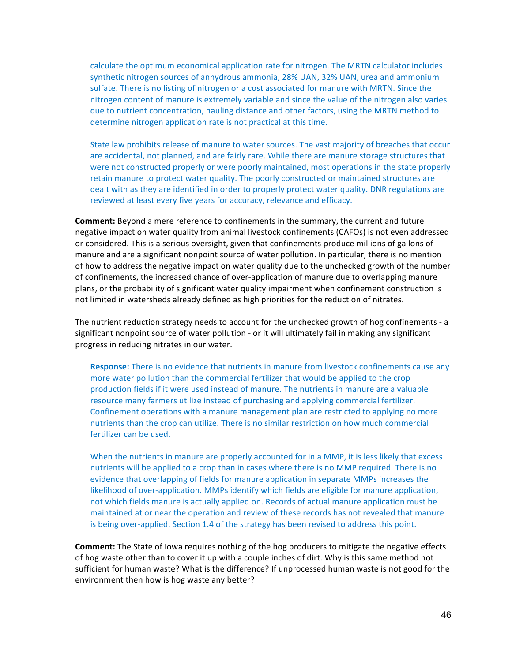calculate the optimum economical application rate for nitrogen. The MRTN calculator includes synthetic nitrogen sources of anhydrous ammonia, 28% UAN, 32% UAN, urea and ammonium sulfate. There is no listing of nitrogen or a cost associated for manure with MRTN. Since the nitrogen content of manure is extremely variable and since the value of the nitrogen also varies due to nutrient concentration, hauling distance and other factors, using the MRTN method to determine nitrogen application rate is not practical at this time.

State law prohibits release of manure to water sources. The vast majority of breaches that occur are accidental, not planned, and are fairly rare. While there are manure storage structures that were not constructed properly or were poorly maintained, most operations in the state properly retain manure to protect water quality. The poorly constructed or maintained structures are dealt with as they are identified in order to properly protect water quality. DNR regulations are reviewed at least every five years for accuracy, relevance and efficacy.

**Comment:** Beyond a mere reference to confinements in the summary, the current and future negative impact on water quality from animal livestock confinements (CAFOs) is not even addressed or considered. This is a serious oversight, given that confinements produce millions of gallons of manure and are a significant nonpoint source of water pollution. In particular, there is no mention of how to address the negative impact on water quality due to the unchecked growth of the number of confinements, the increased chance of over-application of manure due to overlapping manure plans, or the probability of significant water quality impairment when confinement construction is not limited in watersheds already defined as high priorities for the reduction of nitrates.

The nutrient reduction strategy needs to account for the unchecked growth of hog confinements - a significant nonpoint source of water pollution - or it will ultimately fail in making any significant progress in reducing nitrates in our water.

**Response:** There is no evidence that nutrients in manure from livestock confinements cause any more water pollution than the commercial fertilizer that would be applied to the crop production fields if it were used instead of manure. The nutrients in manure are a valuable resource many farmers utilize instead of purchasing and applying commercial fertilizer. Confinement operations with a manure management plan are restricted to applying no more nutrients than the crop can utilize. There is no similar restriction on how much commercial fertilizer can be used.

When the nutrients in manure are properly accounted for in a MMP, it is less likely that excess nutrients will be applied to a crop than in cases where there is no MMP required. There is no evidence that overlapping of fields for manure application in separate MMPs increases the likelihood of over-application. MMPs identify which fields are eligible for manure application, not which fields manure is actually applied on. Records of actual manure application must be maintained at or near the operation and review of these records has not revealed that manure is being over-applied. Section 1.4 of the strategy has been revised to address this point.

**Comment:** The State of lowa requires nothing of the hog producers to mitigate the negative effects of hog waste other than to cover it up with a couple inches of dirt. Why is this same method not sufficient for human waste? What is the difference? If unprocessed human waste is not good for the environment then how is hog waste any better?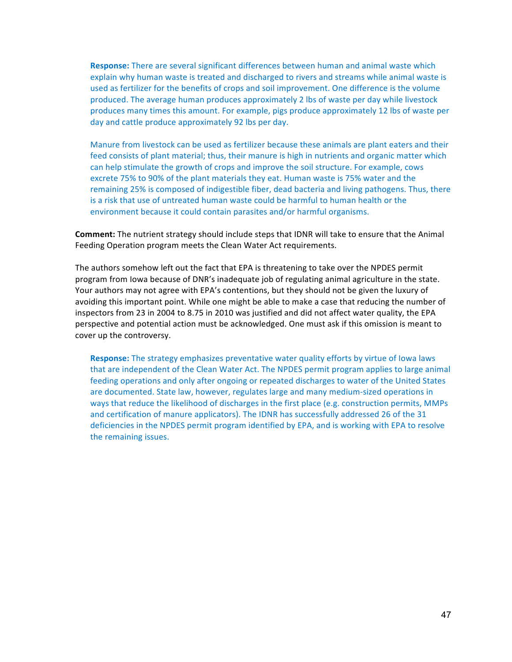**Response:** There are several significant differences between human and animal waste which explain why human waste is treated and discharged to rivers and streams while animal waste is used as fertilizer for the benefits of crops and soil improvement. One difference is the volume produced. The average human produces approximately 2 lbs of waste per day while livestock produces many times this amount. For example, pigs produce approximately 12 lbs of waste per day and cattle produce approximately 92 lbs per day.

Manure from livestock can be used as fertilizer because these animals are plant eaters and their feed consists of plant material; thus, their manure is high in nutrients and organic matter which can help stimulate the growth of crops and improve the soil structure. For example, cows excrete 75% to 90% of the plant materials they eat. Human waste is 75% water and the remaining 25% is composed of indigestible fiber, dead bacteria and living pathogens. Thus, there is a risk that use of untreated human waste could be harmful to human health or the environment because it could contain parasites and/or harmful organisms.

**Comment:** The nutrient strategy should include steps that IDNR will take to ensure that the Animal Feeding Operation program meets the Clean Water Act requirements.

The authors somehow left out the fact that EPA is threatening to take over the NPDES permit program from lowa because of DNR's inadequate job of regulating animal agriculture in the state. Your authors may not agree with EPA's contentions, but they should not be given the luxury of avoiding this important point. While one might be able to make a case that reducing the number of inspectors from 23 in 2004 to 8.75 in 2010 was justified and did not affect water quality, the EPA perspective and potential action must be acknowledged. One must ask if this omission is meant to cover up the controversy.

**Response:** The strategy emphasizes preventative water quality efforts by virtue of lowa laws that are independent of the Clean Water Act. The NPDES permit program applies to large animal feeding operations and only after ongoing or repeated discharges to water of the United States are documented. State law, however, regulates large and many medium-sized operations in ways that reduce the likelihood of discharges in the first place (e.g. construction permits, MMPs and certification of manure applicators). The IDNR has successfully addressed 26 of the 31 deficiencies in the NPDES permit program identified by EPA, and is working with EPA to resolve the remaining issues.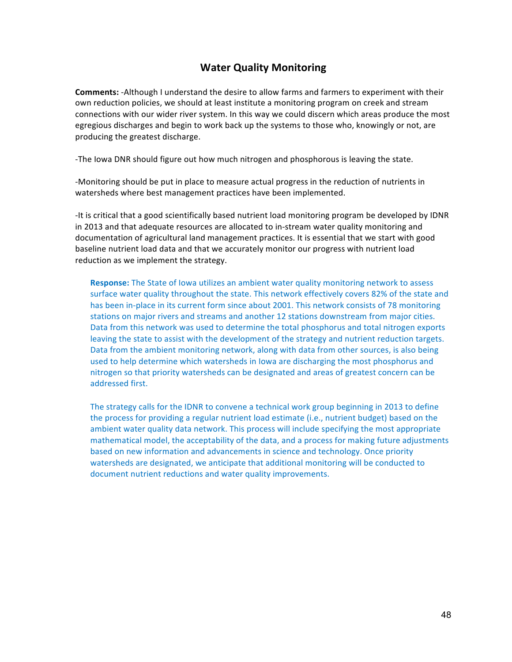## **Water Quality Monitoring**

**Comments:** -Although I understand the desire to allow farms and farmers to experiment with their own reduction policies, we should at least institute a monitoring program on creek and stream connections with our wider river system. In this way we could discern which areas produce the most egregious discharges and begin to work back up the systems to those who, knowingly or not, are producing the greatest discharge.

-The lowa DNR should figure out how much nitrogen and phosphorous is leaving the state.

-Monitoring should be put in place to measure actual progress in the reduction of nutrients in watersheds where best management practices have been implemented.

-It is critical that a good scientifically based nutrient load monitoring program be developed by IDNR in 2013 and that adequate resources are allocated to in-stream water quality monitoring and documentation of agricultural land management practices. It is essential that we start with good baseline nutrient load data and that we accurately monitor our progress with nutrient load reduction as we implement the strategy.

**Response:** The State of lowa utilizes an ambient water quality monitoring network to assess surface water quality throughout the state. This network effectively covers 82% of the state and has been in-place in its current form since about 2001. This network consists of 78 monitoring stations on major rivers and streams and another 12 stations downstream from major cities. Data from this network was used to determine the total phosphorus and total nitrogen exports leaving the state to assist with the development of the strategy and nutrient reduction targets. Data from the ambient monitoring network, along with data from other sources, is also being used to help determine which watersheds in lowa are discharging the most phosphorus and nitrogen so that priority watersheds can be designated and areas of greatest concern can be addressed first.

The strategy calls for the IDNR to convene a technical work group beginning in 2013 to define the process for providing a regular nutrient load estimate (i.e., nutrient budget) based on the ambient water quality data network. This process will include specifying the most appropriate mathematical model, the acceptability of the data, and a process for making future adjustments based on new information and advancements in science and technology. Once priority watersheds are designated, we anticipate that additional monitoring will be conducted to document nutrient reductions and water quality improvements.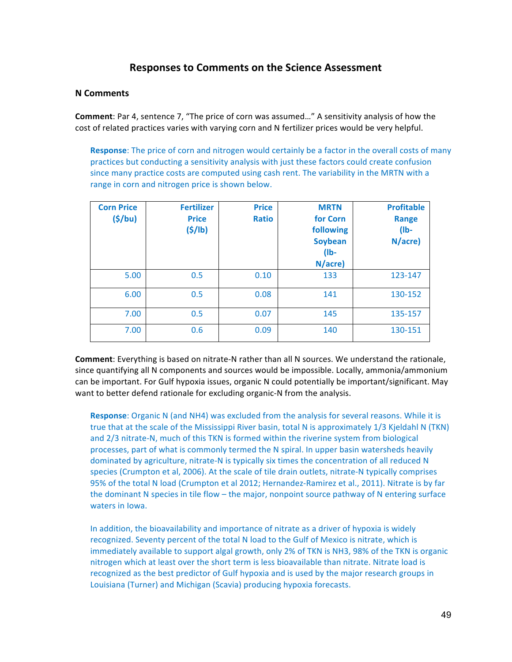## **Responses to Comments on the Science Assessment**

#### **N Comments**

**Comment**: Par 4, sentence 7, "The price of corn was assumed..." A sensitivity analysis of how the cost of related practices varies with varying corn and N fertilizer prices would be very helpful.

**Response**: The price of corn and nitrogen would certainly be a factor in the overall costs of many practices but conducting a sensitivity analysis with just these factors could create confusion since many practice costs are computed using cash rent. The variability in the MRTN with a range in corn and nitrogen price is shown below.

| <b>Corn Price</b><br>(5/bu) | <b>Fertilizer</b><br><b>Price</b><br>(5/lb) | <b>Price</b><br><b>Ratio</b> | <b>MRTN</b><br>for Corn<br>following<br><b>Soybean</b><br>$(1b -$<br>N/acre) | <b>Profitable</b><br><b>Range</b><br>$(1b -$<br>N/acre) |
|-----------------------------|---------------------------------------------|------------------------------|------------------------------------------------------------------------------|---------------------------------------------------------|
| 5.00                        | 0.5                                         | 0.10                         | 133                                                                          | 123-147                                                 |
| 6.00                        | 0.5                                         | 0.08                         | 141                                                                          | 130-152                                                 |
| 7.00                        | 0.5                                         | 0.07                         | 145                                                                          | 135-157                                                 |
| 7.00                        | 0.6                                         | 0.09                         | 140                                                                          | 130-151                                                 |

**Comment**: Everything is based on nitrate-N rather than all N sources. We understand the rationale, since quantifying all N components and sources would be impossible. Locally, ammonia/ammonium can be important. For Gulf hypoxia issues, organic N could potentially be important/significant. May want to better defend rationale for excluding organic-N from the analysis.

**Response:** Organic N (and NH4) was excluded from the analysis for several reasons. While it is true that at the scale of the Mississippi River basin, total N is approximately 1/3 Kjeldahl N (TKN) and 2/3 nitrate-N, much of this TKN is formed within the riverine system from biological processes, part of what is commonly termed the N spiral. In upper basin watersheds heavily dominated by agriculture, nitrate-N is typically six times the concentration of all reduced N species (Crumpton et al, 2006). At the scale of tile drain outlets, nitrate-N typically comprises 95% of the total N load (Crumpton et al 2012; Hernandez-Ramirez et al., 2011). Nitrate is by far the dominant  $N$  species in tile flow – the major, nonpoint source pathway of  $N$  entering surface waters in lowa.

In addition, the bioavailability and importance of nitrate as a driver of hypoxia is widely recognized. Seventy percent of the total N load to the Gulf of Mexico is nitrate, which is immediately available to support algal growth, only 2% of TKN is NH3, 98% of the TKN is organic nitrogen which at least over the short term is less bioavailable than nitrate. Nitrate load is recognized as the best predictor of Gulf hypoxia and is used by the major research groups in Louisiana (Turner) and Michigan (Scavia) producing hypoxia forecasts.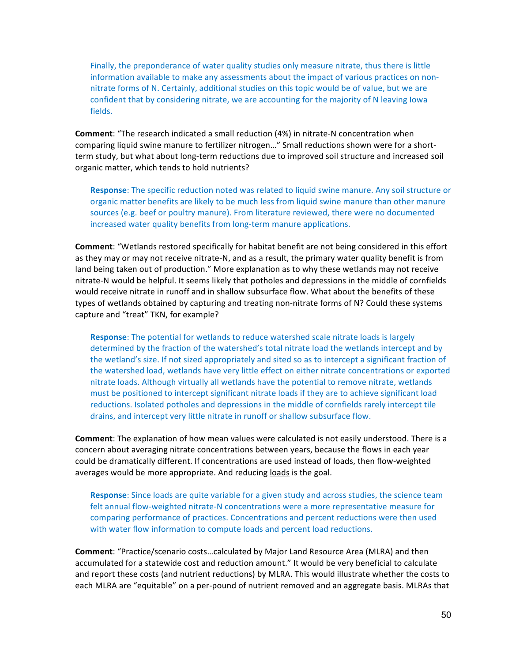Finally, the preponderance of water quality studies only measure nitrate, thus there is little information available to make any assessments about the impact of various practices on nonnitrate forms of N. Certainly, additional studies on this topic would be of value, but we are confident that by considering nitrate, we are accounting for the majority of N leaving lowa fields.

**Comment**: "The research indicated a small reduction (4%) in nitrate-N concentration when comparing liquid swine manure to fertilizer nitrogen..." Small reductions shown were for a shortterm study, but what about long-term reductions due to improved soil structure and increased soil organic matter, which tends to hold nutrients?

**Response:** The specific reduction noted was related to liquid swine manure. Any soil structure or organic matter benefits are likely to be much less from liquid swine manure than other manure sources (e.g. beef or poultry manure). From literature reviewed, there were no documented increased water quality benefits from long-term manure applications.

**Comment**: "Wetlands restored specifically for habitat benefit are not being considered in this effort as they may or may not receive nitrate-N, and as a result, the primary water quality benefit is from land being taken out of production." More explanation as to why these wetlands may not receive nitrate-N would be helpful. It seems likely that potholes and depressions in the middle of cornfields would receive nitrate in runoff and in shallow subsurface flow. What about the benefits of these types of wetlands obtained by capturing and treating non-nitrate forms of N? Could these systems capture and "treat" TKN, for example?

**Response:** The potential for wetlands to reduce watershed scale nitrate loads is largely determined by the fraction of the watershed's total nitrate load the wetlands intercept and by the wetland's size. If not sized appropriately and sited so as to intercept a significant fraction of the watershed load, wetlands have very little effect on either nitrate concentrations or exported nitrate loads. Although virtually all wetlands have the potential to remove nitrate, wetlands must be positioned to intercept significant nitrate loads if they are to achieve significant load reductions. Isolated potholes and depressions in the middle of cornfields rarely intercept tile drains, and intercept very little nitrate in runoff or shallow subsurface flow.

**Comment**: The explanation of how mean values were calculated is not easily understood. There is a concern about averaging nitrate concentrations between years, because the flows in each year could be dramatically different. If concentrations are used instead of loads, then flow-weighted averages would be more appropriate. And reducing loads is the goal.

**Response:** Since loads are quite variable for a given study and across studies, the science team felt annual flow-weighted nitrate-N concentrations were a more representative measure for comparing performance of practices. Concentrations and percent reductions were then used with water flow information to compute loads and percent load reductions.

**Comment**: "Practice/scenario costs...calculated by Major Land Resource Area (MLRA) and then accumulated for a statewide cost and reduction amount." It would be very beneficial to calculate and report these costs (and nutrient reductions) by MLRA. This would illustrate whether the costs to each MLRA are "equitable" on a per-pound of nutrient removed and an aggregate basis. MLRAs that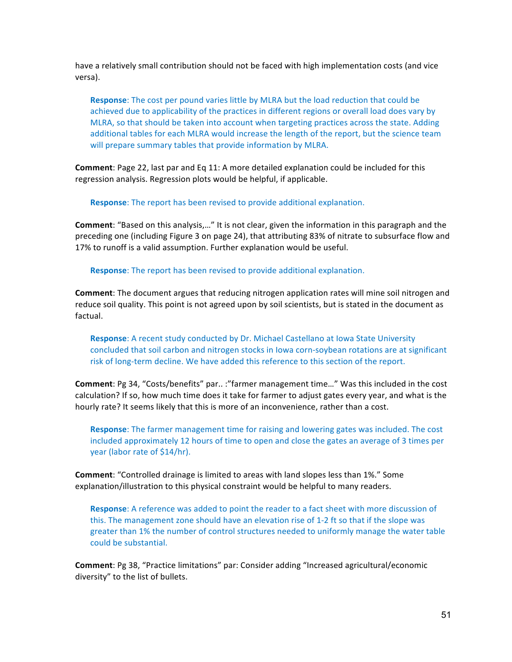have a relatively small contribution should not be faced with high implementation costs (and vice versa).

**Response**: The cost per pound varies little by MLRA but the load reduction that could be achieved due to applicability of the practices in different regions or overall load does vary by MLRA, so that should be taken into account when targeting practices across the state. Adding additional tables for each MLRA would increase the length of the report, but the science team will prepare summary tables that provide information by MLRA.

**Comment**: Page 22, last par and Eq 11: A more detailed explanation could be included for this regression analysis. Regression plots would be helpful, if applicable.

**Response**: The report has been revised to provide additional explanation.

**Comment**: "Based on this analysis,..." It is not clear, given the information in this paragraph and the preceding one (including Figure 3 on page 24), that attributing 83% of nitrate to subsurface flow and 17% to runoff is a valid assumption. Further explanation would be useful.

**Response**: The report has been revised to provide additional explanation.

**Comment**: The document argues that reducing nitrogen application rates will mine soil nitrogen and reduce soil quality. This point is not agreed upon by soil scientists, but is stated in the document as factual.

**Response**: A recent study conducted by Dr. Michael Castellano at Iowa State University concluded that soil carbon and nitrogen stocks in lowa corn-soybean rotations are at significant risk of long-term decline. We have added this reference to this section of the report.

**Comment**: Pg 34, "Costs/benefits" par.. :"farmer management time..." Was this included in the cost calculation? If so, how much time does it take for farmer to adjust gates every year, and what is the hourly rate? It seems likely that this is more of an inconvenience, rather than a cost.

**Response**: The farmer management time for raising and lowering gates was included. The cost included approximately 12 hours of time to open and close the gates an average of 3 times per year (labor rate of \$14/hr).

**Comment**: "Controlled drainage is limited to areas with land slopes less than 1%." Some explanation/illustration to this physical constraint would be helpful to many readers.

**Response**: A reference was added to point the reader to a fact sheet with more discussion of this. The management zone should have an elevation rise of 1-2 ft so that if the slope was greater than 1% the number of control structures needed to uniformly manage the water table could be substantial.

**Comment**: Pg 38, "Practice limitations" par: Consider adding "Increased agricultural/economic diversity" to the list of bullets.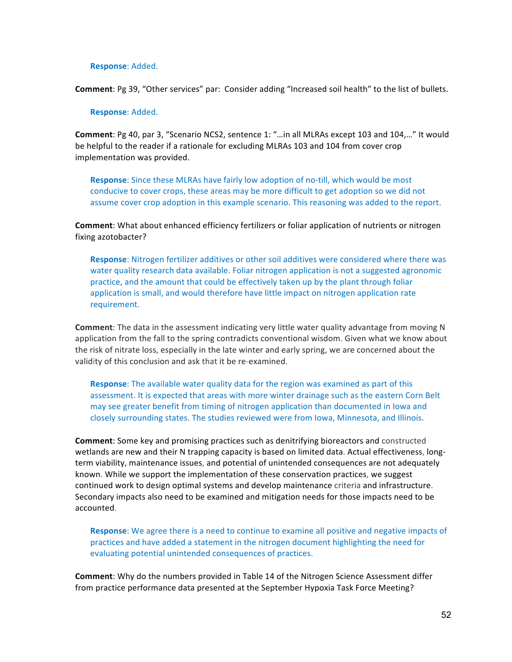#### **Response**: Added.

**Comment**: Pg 39, "Other services" par: Consider adding "Increased soil health" to the list of bullets.

#### **Response**: Added.

**Comment**: Pg 40, par 3, "Scenario NCS2, sentence 1: "...in all MLRAs except 103 and 104,..." It would be helpful to the reader if a rationale for excluding MLRAs 103 and 104 from cover crop implementation was provided.

**Response**: Since these MLRAs have fairly low adoption of no-till, which would be most conducive to cover crops, these areas may be more difficult to get adoption so we did not assume cover crop adoption in this example scenario. This reasoning was added to the report.

**Comment**: What about enhanced efficiency fertilizers or foliar application of nutrients or nitrogen fixing azotobacter?

Response: Nitrogen fertilizer additives or other soil additives were considered where there was water quality research data available. Foliar nitrogen application is not a suggested agronomic practice, and the amount that could be effectively taken up by the plant through foliar application is small, and would therefore have little impact on nitrogen application rate requirement.

**Comment**: The data in the assessment indicating very little water quality advantage from moving N application from the fall to the spring contradicts conventional wisdom. Given what we know about the risk of nitrate loss, especially in the late winter and early spring, we are concerned about the validity of this conclusion and ask that it be re-examined.

**Response**: The available water quality data for the region was examined as part of this assessment. It is expected that areas with more winter drainage such as the eastern Corn Belt may see greater benefit from timing of nitrogen application than documented in lowa and closely surrounding states. The studies reviewed were from Iowa, Minnesota, and Illinois.

**Comment:** Some key and promising practices such as denitrifying bioreactors and constructed wetlands are new and their N trapping capacity is based on limited data. Actual effectiveness, longterm viability, maintenance issues, and potential of unintended consequences are not adequately known. While we support the implementation of these conservation practices, we suggest continued work to design optimal systems and develop maintenance criteria and infrastructure. Secondary impacts also need to be examined and mitigation needs for those impacts need to be accounted.

**Response**: We agree there is a need to continue to examine all positive and negative impacts of practices and have added a statement in the nitrogen document highlighting the need for evaluating potential unintended consequences of practices.

**Comment**: Why do the numbers provided in Table 14 of the Nitrogen Science Assessment differ from practice performance data presented at the September Hypoxia Task Force Meeting?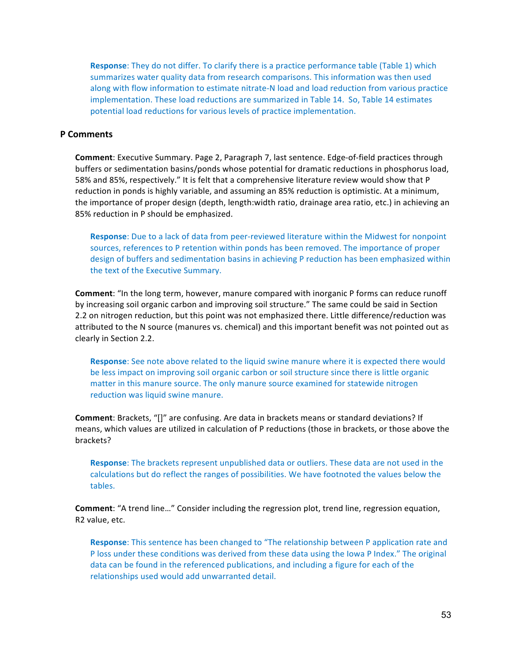**Response**: They do not differ. To clarify there is a practice performance table (Table 1) which summarizes water quality data from research comparisons. This information was then used along with flow information to estimate nitrate-N load and load reduction from various practice implementation. These load reductions are summarized in Table 14. So, Table 14 estimates potential load reductions for various levels of practice implementation.

#### **P Comments**

**Comment**: Executive Summary. Page 2, Paragraph 7, last sentence. Edge-of-field practices through buffers or sedimentation basins/ponds whose potential for dramatic reductions in phosphorus load, 58% and 85%, respectively." It is felt that a comprehensive literature review would show that P reduction in ponds is highly variable, and assuming an 85% reduction is optimistic. At a minimum, the importance of proper design (depth, length:width ratio, drainage area ratio, etc.) in achieving an 85% reduction in P should be emphasized.

**Response**: Due to a lack of data from peer-reviewed literature within the Midwest for nonpoint sources, references to P retention within ponds has been removed. The importance of proper design of buffers and sedimentation basins in achieving P reduction has been emphasized within the text of the Executive Summary.

**Comment**: "In the long term, however, manure compared with inorganic P forms can reduce runoff by increasing soil organic carbon and improving soil structure." The same could be said in Section 2.2 on nitrogen reduction, but this point was not emphasized there. Little difference/reduction was attributed to the N source (manures vs. chemical) and this important benefit was not pointed out as clearly in Section 2.2.

**Response**: See note above related to the liquid swine manure where it is expected there would be less impact on improving soil organic carbon or soil structure since there is little organic matter in this manure source. The only manure source examined for statewide nitrogen reduction was liquid swine manure.

**Comment**: Brackets, "[]" are confusing. Are data in brackets means or standard deviations? If means, which values are utilized in calculation of P reductions (those in brackets, or those above the brackets?

**Response**: The brackets represent unpublished data or outliers. These data are not used in the calculations but do reflect the ranges of possibilities. We have footnoted the values below the tables.

**Comment**: "A trend line..." Consider including the regression plot, trend line, regression equation, R2 value, etc.

**Response**: This sentence has been changed to "The relationship between P application rate and P loss under these conditions was derived from these data using the Iowa P Index." The original data can be found in the referenced publications, and including a figure for each of the relationships used would add unwarranted detail.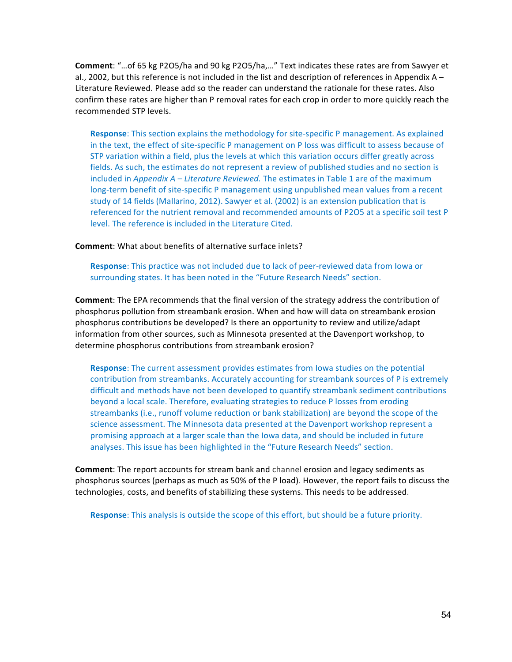**Comment**: "...of 65 kg P2O5/ha and 90 kg P2O5/ha,..." Text indicates these rates are from Sawyer et al., 2002, but this reference is not included in the list and description of references in Appendix  $A -$ Literature Reviewed. Please add so the reader can understand the rationale for these rates. Also confirm these rates are higher than P removal rates for each crop in order to more quickly reach the recommended STP levels.

**Response:** This section explains the methodology for site-specific P management. As explained in the text, the effect of site-specific P management on P loss was difficult to assess because of STP variation within a field, plus the levels at which this variation occurs differ greatly across fields. As such, the estimates do not represent a review of published studies and no section is included in *Appendix A – Literature Reviewed*. The estimates in Table 1 are of the maximum long-term benefit of site-specific P management using unpublished mean values from a recent study of 14 fields (Mallarino, 2012). Sawyer et al. (2002) is an extension publication that is referenced for the nutrient removal and recommended amounts of P2O5 at a specific soil test P level. The reference is included in the Literature Cited.

**Comment:** What about benefits of alternative surface inlets?

**Response**: This practice was not included due to lack of peer-reviewed data from lowa or surrounding states. It has been noted in the "Future Research Needs" section.

**Comment:** The EPA recommends that the final version of the strategy address the contribution of phosphorus pollution from streambank erosion. When and how will data on streambank erosion phosphorus contributions be developed? Is there an opportunity to review and utilize/adapt information from other sources, such as Minnesota presented at the Davenport workshop, to determine phosphorus contributions from streambank erosion?

**Response**: The current assessment provides estimates from lowa studies on the potential contribution from streambanks. Accurately accounting for streambank sources of P is extremely difficult and methods have not been developed to quantify streambank sediment contributions beyond a local scale. Therefore, evaluating strategies to reduce P losses from eroding streambanks (i.e., runoff volume reduction or bank stabilization) are beyond the scope of the science assessment. The Minnesota data presented at the Davenport workshop represent a promising approach at a larger scale than the Iowa data, and should be included in future analyses. This issue has been highlighted in the "Future Research Needs" section.

**Comment**: The report accounts for stream bank and channel erosion and legacy sediments as phosphorus sources (perhaps as much as 50% of the P load). However, the report fails to discuss the technologies, costs, and benefits of stabilizing these systems. This needs to be addressed.

**Response**: This analysis is outside the scope of this effort, but should be a future priority.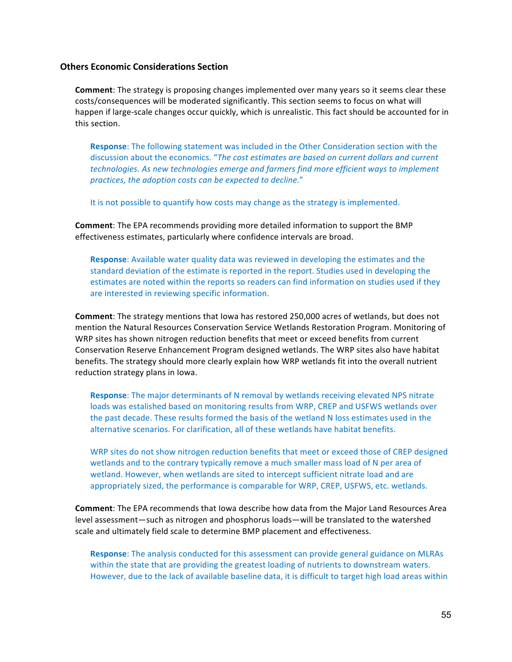#### **Others Economic Considerations Section**

**Comment**: The strategy is proposing changes implemented over many years so it seems clear these costs/consequences will be moderated significantly. This section seems to focus on what will happen if large-scale changes occur quickly, which is unrealistic. This fact should be accounted for in this section.

**Response:** The following statement was included in the Other Consideration section with the discussion about the economics. "The cost estimates are based on current dollars and current *technologies.* As new technologies emerge and farmers find more efficient ways to implement practices, the adoption costs can be expected to decline."

It is not possible to quantify how costs may change as the strategy is implemented.

**Comment**: The EPA recommends providing more detailed information to support the BMP effectiveness estimates, particularly where confidence intervals are broad.

**Response**: Available water quality data was reviewed in developing the estimates and the standard deviation of the estimate is reported in the report. Studies used in developing the estimates are noted within the reports so readers can find information on studies used if they are interested in reviewing specific information.

**Comment**: The strategy mentions that lowa has restored 250,000 acres of wetlands, but does not mention the Natural Resources Conservation Service Wetlands Restoration Program. Monitoring of WRP sites has shown nitrogen reduction benefits that meet or exceed benefits from current Conservation Reserve Enhancement Program designed wetlands. The WRP sites also have habitat benefits. The strategy should more clearly explain how WRP wetlands fit into the overall nutrient reduction strategy plans in Iowa.

**Response**: The major determinants of N removal by wetlands receiving elevated NPS nitrate loads was estalished based on monitoring results from WRP, CREP and USFWS wetlands over the past decade. These results formed the basis of the wetland N loss estimates used in the alternative scenarios. For clarification, all of these wetlands have habitat benefits.

WRP sites do not show nitrogen reduction benefits that meet or exceed those of CREP designed wetlands and to the contrary typically remove a much smaller mass load of N per area of wetland. However, when wetlands are sited to intercept sufficient nitrate load and are appropriately sized, the performance is comparable for WRP, CREP, USFWS, etc. wetlands.

**Comment**: The EPA recommends that lowa describe how data from the Major Land Resources Area level assessment—such as nitrogen and phosphorus loads—will be translated to the watershed scale and ultimately field scale to determine BMP placement and effectiveness.

**Response**: The analysis conducted for this assessment can provide general guidance on MLRAs within the state that are providing the greatest loading of nutrients to downstream waters. However, due to the lack of available baseline data, it is difficult to target high load areas within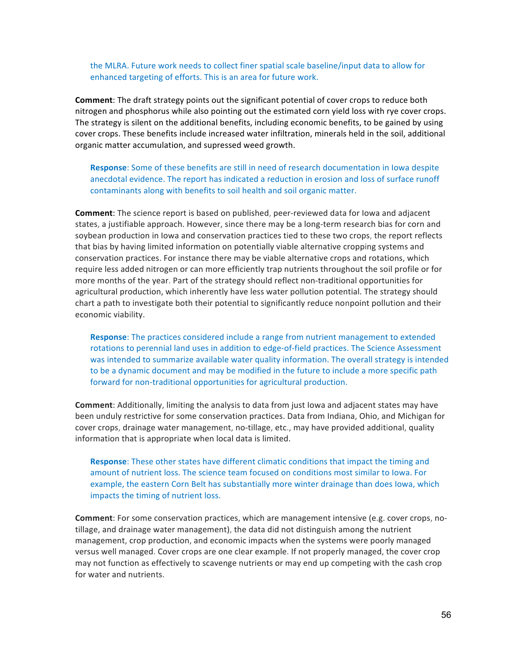the MLRA. Future work needs to collect finer spatial scale baseline/input data to allow for enhanced targeting of efforts. This is an area for future work.

**Comment**: The draft strategy points out the significant potential of cover crops to reduce both nitrogen and phosphorus while also pointing out the estimated corn yield loss with rye cover crops. The strategy is silent on the additional benefits, including economic benefits, to be gained by using cover crops. These benefits include increased water infiltration, minerals held in the soil, additional organic matter accumulation, and supressed weed growth.

**Response:** Some of these benefits are still in need of research documentation in lowa despite anecdotal evidence. The report has indicated a reduction in erosion and loss of surface runoff contaminants along with benefits to soil health and soil organic matter.

**Comment**: The science report is based on published, peer-reviewed data for lowa and adjacent states, a justifiable approach. However, since there may be a long-term research bias for corn and soybean production in lowa and conservation practices tied to these two crops, the report reflects that bias by having limited information on potentially viable alternative cropping systems and conservation practices. For instance there may be viable alternative crops and rotations, which require less added nitrogen or can more efficiently trap nutrients throughout the soil profile or for more months of the year. Part of the strategy should reflect non-traditional opportunities for agricultural production, which inherently have less water pollution potential. The strategy should chart a path to investigate both their potential to significantly reduce nonpoint pollution and their economic viability.

**Response**: The practices considered include a range from nutrient management to extended rotations to perennial land uses in addition to edge-of-field practices. The Science Assessment was intended to summarize available water quality information. The overall strategy is intended to be a dynamic document and may be modified in the future to include a more specific path forward for non-traditional opportunities for agricultural production.

**Comment:** Additionally, limiting the analysis to data from just lowa and adjacent states may have been unduly restrictive for some conservation practices. Data from Indiana, Ohio, and Michigan for cover crops, drainage water management, no-tillage, etc., may have provided additional, quality information that is appropriate when local data is limited.

**Response:** These other states have different climatic conditions that impact the timing and amount of nutrient loss. The science team focused on conditions most similar to lowa. For example, the eastern Corn Belt has substantially more winter drainage than does lowa, which impacts the timing of nutrient loss.

**Comment**: For some conservation practices, which are management intensive (e.g. cover crops, notillage, and drainage water management), the data did not distinguish among the nutrient management, crop production, and economic impacts when the systems were poorly managed versus well managed. Cover crops are one clear example. If not properly managed, the cover crop may not function as effectively to scavenge nutrients or may end up competing with the cash crop for water and nutrients.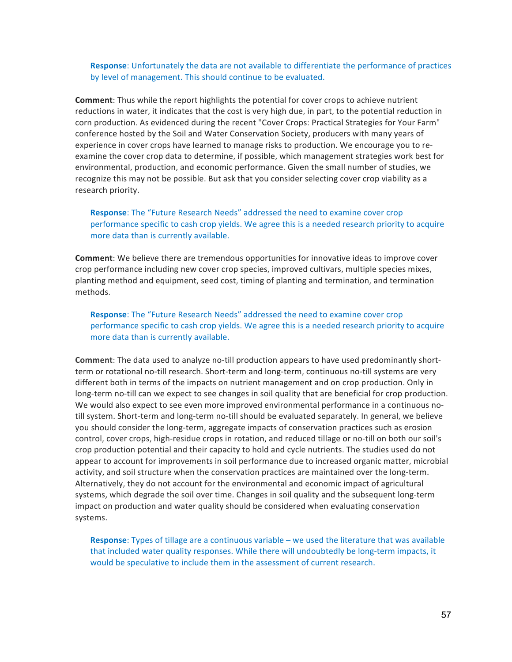**Response:** Unfortunately the data are not available to differentiate the performance of practices by level of management. This should continue to be evaluated.

**Comment:** Thus while the report highlights the potential for cover crops to achieve nutrient reductions in water, it indicates that the cost is very high due, in part, to the potential reduction in corn production. As evidenced during the recent "Cover Crops: Practical Strategies for Your Farm" conference hosted by the Soil and Water Conservation Society, producers with many years of experience in cover crops have learned to manage risks to production. We encourage you to reexamine the cover crop data to determine, if possible, which management strategies work best for environmental, production, and economic performance. Given the small number of studies, we recognize this may not be possible. But ask that you consider selecting cover crop viability as a research priority.

**Response:** The "Future Research Needs" addressed the need to examine cover crop performance specific to cash crop yields. We agree this is a needed research priority to acquire more data than is currently available.

**Comment**: We believe there are tremendous opportunities for innovative ideas to improve cover crop performance including new cover crop species, improved cultivars, multiple species mixes, planting method and equipment, seed cost, timing of planting and termination, and termination methods.

**Response**: The "Future Research Needs" addressed the need to examine cover crop performance specific to cash crop yields. We agree this is a needed research priority to acquire more data than is currently available.

**Comment:** The data used to analyze no-till production appears to have used predominantly shortterm or rotational no-till research. Short-term and long-term, continuous no-till systems are very different both in terms of the impacts on nutrient management and on crop production. Only in long-term no-till can we expect to see changes in soil quality that are beneficial for crop production. We would also expect to see even more improved environmental performance in a continuous notill system. Short-term and long-term no-till should be evaluated separately. In general, we believe you should consider the long-term, aggregate impacts of conservation practices such as erosion control, cover crops, high-residue crops in rotation, and reduced tillage or no-till on both our soil's crop production potential and their capacity to hold and cycle nutrients. The studies used do not appear to account for improvements in soil performance due to increased organic matter, microbial activity, and soil structure when the conservation practices are maintained over the long-term. Alternatively, they do not account for the environmental and economic impact of agricultural systems, which degrade the soil over time. Changes in soil quality and the subsequent long-term impact on production and water quality should be considered when evaluating conservation systems.

**Response**: Types of tillage are a continuous variable – we used the literature that was available that included water quality responses. While there will undoubtedly be long-term impacts, it would be speculative to include them in the assessment of current research.